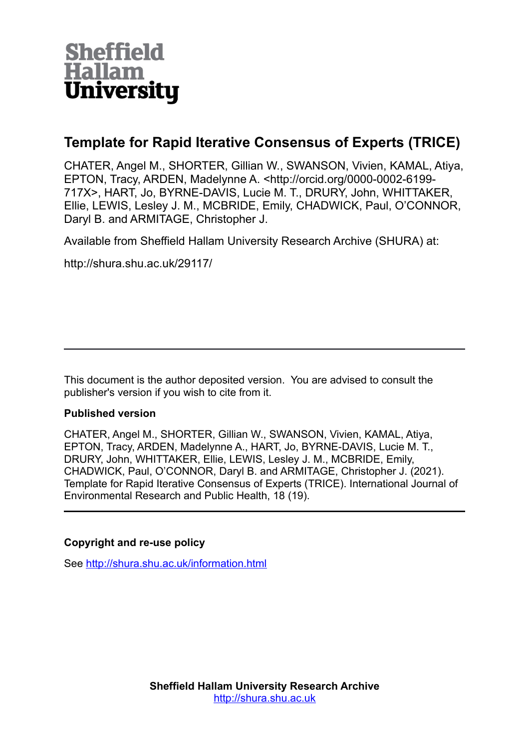

# **Template for Rapid Iterative Consensus of Experts (TRICE)**

CHATER, Angel M., SHORTER, Gillian W., SWANSON, Vivien, KAMAL, Atiya, EPTON, Tracy, ARDEN, Madelynne A. <http://orcid.org/0000-0002-6199- 717X>, HART, Jo, BYRNE-DAVIS, Lucie M. T., DRURY, John, WHITTAKER, Ellie, LEWIS, Lesley J. M., MCBRIDE, Emily, CHADWICK, Paul, O'CONNOR, Daryl B. and ARMITAGE, Christopher J.

Available from Sheffield Hallam University Research Archive (SHURA) at:

http://shura.shu.ac.uk/29117/

This document is the author deposited version. You are advised to consult the publisher's version if you wish to cite from it.

# **Published version**

CHATER, Angel M., SHORTER, Gillian W., SWANSON, Vivien, KAMAL, Atiya, EPTON, Tracy, ARDEN, Madelynne A., HART, Jo, BYRNE-DAVIS, Lucie M. T., DRURY, John, WHITTAKER, Ellie, LEWIS, Lesley J. M., MCBRIDE, Emily, CHADWICK, Paul, O'CONNOR, Daryl B. and ARMITAGE, Christopher J. (2021). Template for Rapid Iterative Consensus of Experts (TRICE). International Journal of Environmental Research and Public Health, 18 (19).

# **Copyright and re-use policy**

See<http://shura.shu.ac.uk/information.html>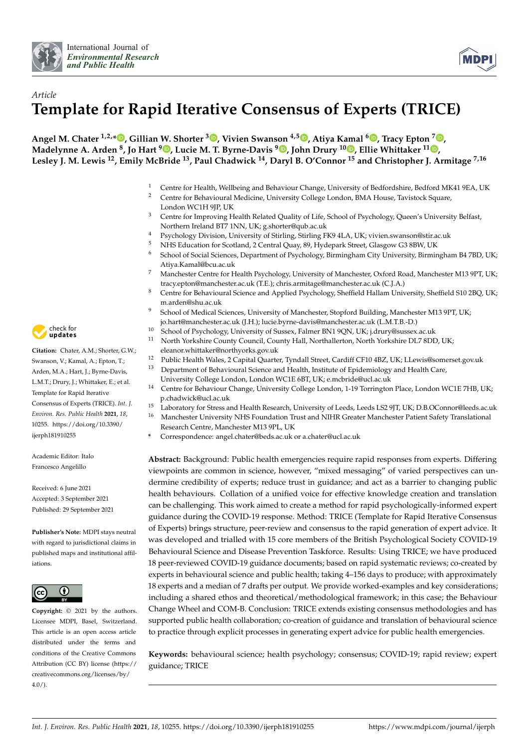



# *Article* **Template for Rapid Iterative Consensus of Experts (TRICE)**

**Angel M. Chater 1,2,[\\*](https://orcid.org/0000-0002-9043-2565) , Gillian W. Shorter <sup>3</sup> [,](https://orcid.org/0000-0001-5752-2297) Vivien Swanson 4,5 [,](https://orcid.org/0000-0002-1685-2991) Atiya Kamal <sup>6</sup> [,](https://orcid.org/0000-0002-6651-6400) Tracy Epton <sup>7</sup> [,](https://orcid.org/0000-0002-1653-191X) Madelynne A. Arden <sup>8</sup> , Jo Hart <sup>9</sup> [,](https://orcid.org/0000-0001-9985-5137) Lucie M. T. Byrne-Davis <sup>9</sup> [,](https://orcid.org/0000-0002-9658-5394) John Drury <sup>10</sup> [,](https://orcid.org/0000-0002-7748-5128) Ellie Whittaker <sup>11</sup> [,](https://orcid.org/0000-0001-8599-9316) Lesley J. M. Lewis <sup>12</sup>, Emily McBride <sup>13</sup>, Paul Chadwick <sup>14</sup>, Daryl B. O'Connor <sup>15</sup> and Christopher J. Armitage 7,16**

- <sup>1</sup> Centre for Health, Wellbeing and Behaviour Change, University of Bedfordshire, Bedford MK41 9EA, UK
- <sup>2</sup> Centre for Behavioural Medicine, University College London, BMA House, Tavistock Square, London WC1H 9JP, UK
- <sup>3</sup> Centre for Improving Health Related Quality of Life, School of Psychology, Queen's University Belfast, Northern Ireland BT7 1NN, UK; g.shorter@qub.ac.uk
- <sup>4</sup> Psychology Division, University of Stirling, Stirling FK9 4LA, UK; vivien.swanson@stir.ac.uk
- <sup>5</sup> NHS Education for Scotland, 2 Central Quay, 89, Hydepark Street, Glasgow G3 8BW, UK<br><sup>6</sup> Sebasel of Sasial Sciences, Denartment of Bayshology, Birmingham City, University, Birmin
- <sup>6</sup> School of Social Sciences, Department of Psychology, Birmingham City University, Birmingham B4 7BD, UK; Atiya.Kamal@bcu.ac.uk
- <sup>7</sup> Manchester Centre for Health Psychology, University of Manchester, Oxford Road, Manchester M13 9PT, UK; tracy.epton@manchester.ac.uk (T.E.); chris.armitage@manchester.ac.uk (C.J.A.)
- 8 Centre for Behavioural Science and Applied Psychology, Sheffield Hallam University, Sheffield S10 2BQ, UK; m.arden@shu.ac.uk
- <sup>9</sup> School of Medical Sciences, University of Manchester, Stopford Building, Manchester M13 9PT, UK; jo.hart@manchester.ac.uk (J.H.); lucie.byrne-davis@manchester.ac.uk (L.M.T.B.-D.)
- <sup>10</sup> School of Psychology, University of Sussex, Falmer BN1 9QN, UK; j.drury@sussex.ac.uk
- <sup>11</sup> North Yorkshire County Council, County Hall, Northallerton, North Yorkshire DL7 8DD, UK; eleanor.whittaker@northyorks.gov.uk
- <sup>12</sup> Public Health Wales, 2 Capital Quarter, Tyndall Street, Cardiff CF10 4BZ, UK; LLewis@somerset.gov.uk
- <sup>13</sup> Department of Behavioural Science and Health, Institute of Epidemiology and Health Care,
	- University College London, London WC1E 6BT, UK; e.mcbride@ucl.ac.uk
	- <sup>14</sup> Centre for Behaviour Change, University College London, 1-19 Torrington Place, London WC1E 7HB, UK; p.chadwick@ucl.ac.uk
- 15 Laboratory for Stress and Health Research, University of Leeds, Leeds LS2 9JT, UK; D.B.OConnor@leeds.ac.uk<br>16 Man the star University NUC Exam dation Trust and NUUP Constan Man the star Patient Sefects Trumplational
- <sup>16</sup> Manchester University NHS Foundation Trust and NIHR Greater Manchester Patient Safety Translational Research Centre, Manchester M13 9PL, UK
- **\*** Correspondence: angel.chater@beds.ac.uk or a.chater@ucl.ac.uk

**Abstract:** Background: Public health emergencies require rapid responses from experts. Differing viewpoints are common in science, however, "mixed messaging" of varied perspectives can undermine credibility of experts; reduce trust in guidance; and act as a barrier to changing public health behaviours. Collation of a unified voice for effective knowledge creation and translation can be challenging. This work aimed to create a method for rapid psychologically-informed expert guidance during the COVID-19 response. Method: TRICE (Template for Rapid Iterative Consensus of Experts) brings structure, peer-review and consensus to the rapid generation of expert advice. It was developed and trialled with 15 core members of the British Psychological Society COVID-19 Behavioural Science and Disease Prevention Taskforce. Results: Using TRICE; we have produced 18 peer-reviewed COVID-19 guidance documents; based on rapid systematic reviews; co-created by experts in behavioural science and public health; taking 4–156 days to produce; with approximately 18 experts and a median of 7 drafts per output. We provide worked-examples and key considerations; including a shared ethos and theoretical/methodological framework; in this case; the Behaviour Change Wheel and COM-B. Conclusion: TRICE extends existing consensus methodologies and has supported public health collaboration; co-creation of guidance and translation of behavioural science to practice through explicit processes in generating expert advice for public health emergencies.

**Keywords:** behavioural science; health psychology; consensus; COVID-19; rapid review; expert guidance; TRICE



**Citation:** Chater, A.M.; Shorter, G.W.; Swanson, V.; Kamal, A.; Epton, T.; Arden, M.A.; Hart, J.; Byrne-Davis, L.M.T.; Drury, J.; Whittaker, E.; et al. Template for Rapid Iterative Consensus of Experts (TRICE). *Int. J. Environ. Res. Public Health* **2021**, *18*, 10255. [https://doi.org/10.3390/](https://doi.org/10.3390/ijerph181910255) [ijerph181910255](https://doi.org/10.3390/ijerph181910255)

Academic Editor: Italo Francesco Angelillo

Received: 6 June 2021 Accepted: 3 September 2021 Published: 29 September 2021

**Publisher's Note:** MDPI stays neutral with regard to jurisdictional claims in published maps and institutional affiliations.



**Copyright:** © 2021 by the authors. Licensee MDPI, Basel, Switzerland. This article is an open access article distributed under the terms and conditions of the Creative Commons Attribution (CC BY) license (https:/[/](https://creativecommons.org/licenses/by/4.0/) [creativecommons.org/licenses/by/](https://creativecommons.org/licenses/by/4.0/)  $4.0/$ ).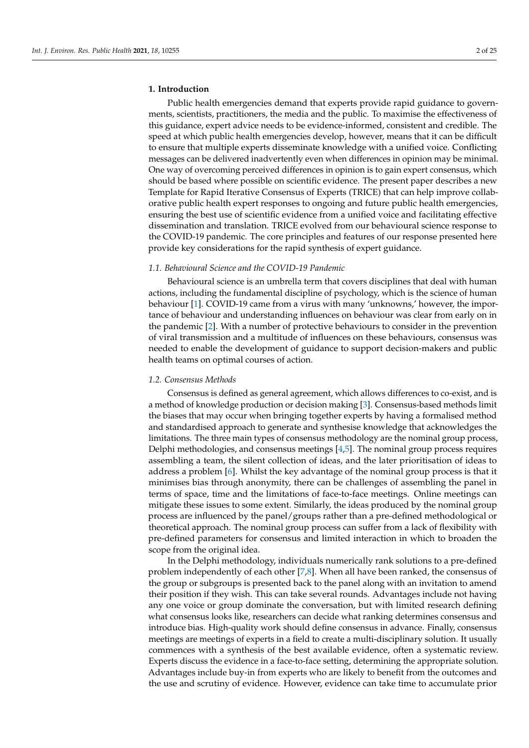#### **1. Introduction**

Public health emergencies demand that experts provide rapid guidance to governments, scientists, practitioners, the media and the public. To maximise the effectiveness of this guidance, expert advice needs to be evidence-informed, consistent and credible. The speed at which public health emergencies develop, however, means that it can be difficult to ensure that multiple experts disseminate knowledge with a unified voice. Conflicting messages can be delivered inadvertently even when differences in opinion may be minimal. One way of overcoming perceived differences in opinion is to gain expert consensus, which should be based where possible on scientific evidence. The present paper describes a new Template for Rapid Iterative Consensus of Experts (TRICE) that can help improve collaborative public health expert responses to ongoing and future public health emergencies, ensuring the best use of scientific evidence from a unified voice and facilitating effective dissemination and translation. TRICE evolved from our behavioural science response to the COVID-19 pandemic. The core principles and features of our response presented here provide key considerations for the rapid synthesis of expert guidance.

#### *1.1. Behavioural Science and the COVID-19 Pandemic*

Behavioural science is an umbrella term that covers disciplines that deal with human actions, including the fundamental discipline of psychology, which is the science of human behaviour [\[1\]](#page-23-0). COVID-19 came from a virus with many 'unknowns,' however, the importance of behaviour and understanding influences on behaviour was clear from early on in the pandemic [\[2\]](#page-23-1). With a number of protective behaviours to consider in the prevention of viral transmission and a multitude of influences on these behaviours, consensus was needed to enable the development of guidance to support decision-makers and public health teams on optimal courses of action.

#### *1.2. Consensus Methods*

Consensus is defined as general agreement, which allows differences to co-exist, and is a method of knowledge production or decision making [\[3\]](#page-23-2). Consensus-based methods limit the biases that may occur when bringing together experts by having a formalised method and standardised approach to generate and synthesise knowledge that acknowledges the limitations. The three main types of consensus methodology are the nominal group process, Delphi methodologies, and consensus meetings [\[4](#page-23-3)[,5\]](#page-23-4). The nominal group process requires assembling a team, the silent collection of ideas, and the later prioritisation of ideas to address a problem [\[6\]](#page-23-5). Whilst the key advantage of the nominal group process is that it minimises bias through anonymity, there can be challenges of assembling the panel in terms of space, time and the limitations of face-to-face meetings. Online meetings can mitigate these issues to some extent. Similarly, the ideas produced by the nominal group process are influenced by the panel/groups rather than a pre-defined methodological or theoretical approach. The nominal group process can suffer from a lack of flexibility with pre-defined parameters for consensus and limited interaction in which to broaden the scope from the original idea.

In the Delphi methodology, individuals numerically rank solutions to a pre-defined problem independently of each other [\[7,](#page-23-6)[8\]](#page-23-7). When all have been ranked, the consensus of the group or subgroups is presented back to the panel along with an invitation to amend their position if they wish. This can take several rounds. Advantages include not having any one voice or group dominate the conversation, but with limited research defining what consensus looks like, researchers can decide what ranking determines consensus and introduce bias. High-quality work should define consensus in advance. Finally, consensus meetings are meetings of experts in a field to create a multi-disciplinary solution. It usually commences with a synthesis of the best available evidence, often a systematic review. Experts discuss the evidence in a face-to-face setting, determining the appropriate solution. Advantages include buy-in from experts who are likely to benefit from the outcomes and the use and scrutiny of evidence. However, evidence can take time to accumulate prior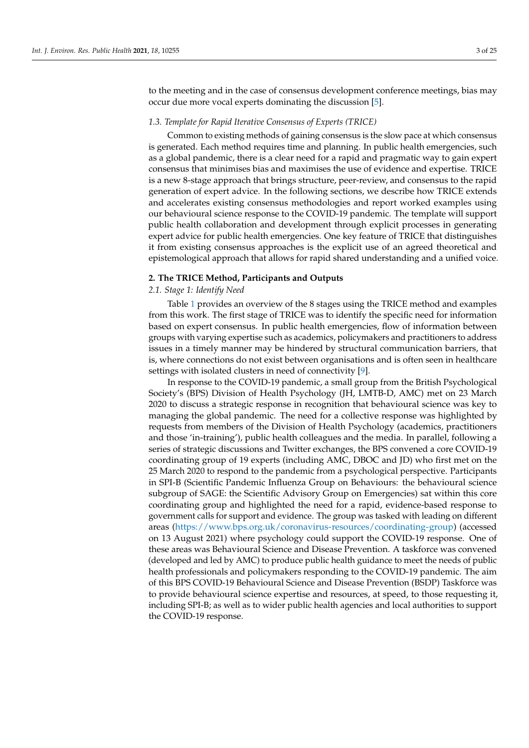to the meeting and in the case of consensus development conference meetings, bias may occur due more vocal experts dominating the discussion [\[5\]](#page-23-4).

### *1.3. Template for Rapid Iterative Consensus of Experts (TRICE)*

Common to existing methods of gaining consensus is the slow pace at which consensus is generated. Each method requires time and planning. In public health emergencies, such as a global pandemic, there is a clear need for a rapid and pragmatic way to gain expert consensus that minimises bias and maximises the use of evidence and expertise. TRICE is a new 8-stage approach that brings structure, peer-review, and consensus to the rapid generation of expert advice. In the following sections, we describe how TRICE extends and accelerates existing consensus methodologies and report worked examples using our behavioural science response to the COVID-19 pandemic. The template will support public health collaboration and development through explicit processes in generating expert advice for public health emergencies. One key feature of TRICE that distinguishes it from existing consensus approaches is the explicit use of an agreed theoretical and epistemological approach that allows for rapid shared understanding and a unified voice.

### **2. The TRICE Method, Participants and Outputs**

# *2.1. Stage 1: Identify Need*

Table [1](#page-6-0) provides an overview of the 8 stages using the TRICE method and examples from this work. The first stage of TRICE was to identify the specific need for information based on expert consensus. In public health emergencies, flow of information between groups with varying expertise such as academics, policymakers and practitioners to address issues in a timely manner may be hindered by structural communication barriers, that is, where connections do not exist between organisations and is often seen in healthcare settings with isolated clusters in need of connectivity [\[9\]](#page-23-8).

In response to the COVID-19 pandemic, a small group from the British Psychological Society's (BPS) Division of Health Psychology (JH, LMTB-D, AMC) met on 23 March 2020 to discuss a strategic response in recognition that behavioural science was key to managing the global pandemic. The need for a collective response was highlighted by requests from members of the Division of Health Psychology (academics, practitioners and those 'in-training'), public health colleagues and the media. In parallel, following a series of strategic discussions and Twitter exchanges, the BPS convened a core COVID-19 coordinating group of 19 experts (including AMC, DBOC and JD) who first met on the 25 March 2020 to respond to the pandemic from a psychological perspective. Participants in SPI-B (Scientific Pandemic Influenza Group on Behaviours: the behavioural science subgroup of SAGE: the Scientific Advisory Group on Emergencies) sat within this core coordinating group and highlighted the need for a rapid, evidence-based response to government calls for support and evidence. The group was tasked with leading on different areas [\(https://www.bps.org.uk/coronavirus-resources/coordinating-group\)](https://www.bps.org.uk/coronavirus-resources/coordinating-group) (accessed on 13 August 2021) where psychology could support the COVID-19 response. One of these areas was Behavioural Science and Disease Prevention. A taskforce was convened (developed and led by AMC) to produce public health guidance to meet the needs of public health professionals and policymakers responding to the COVID-19 pandemic. The aim of this BPS COVID-19 Behavioural Science and Disease Prevention (BSDP) Taskforce was to provide behavioural science expertise and resources, at speed, to those requesting it, including SPI-B; as well as to wider public health agencies and local authorities to support the COVID-19 response.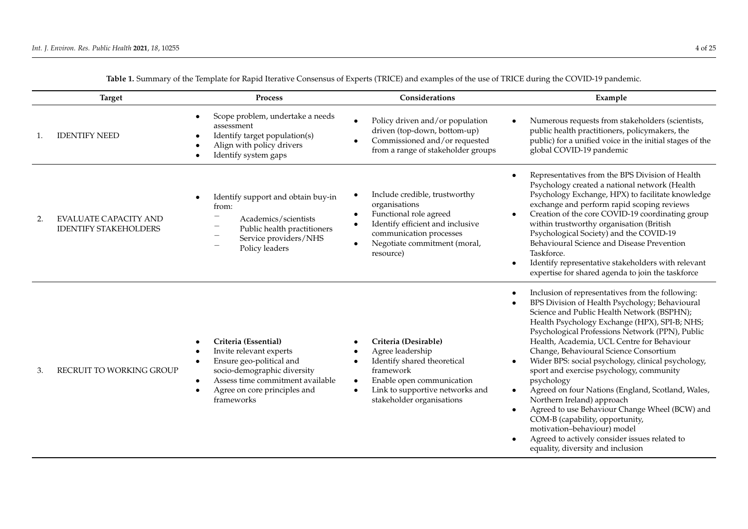| <b>Target</b> |                                                              | Process                                                                                                                                                                                                   | Considerations                                                                                                                                                                                                                        | Example                                                                                                                                                                                                                                                                                                                                                                                                                                                                                                                                                                                                                                                                                                                                                                             |
|---------------|--------------------------------------------------------------|-----------------------------------------------------------------------------------------------------------------------------------------------------------------------------------------------------------|---------------------------------------------------------------------------------------------------------------------------------------------------------------------------------------------------------------------------------------|-------------------------------------------------------------------------------------------------------------------------------------------------------------------------------------------------------------------------------------------------------------------------------------------------------------------------------------------------------------------------------------------------------------------------------------------------------------------------------------------------------------------------------------------------------------------------------------------------------------------------------------------------------------------------------------------------------------------------------------------------------------------------------------|
|               | <b>IDENTIFY NEED</b>                                         | Scope problem, undertake a needs<br>assessment<br>Identify target population(s)<br>Align with policy drivers<br>Identify system gaps                                                                      | Policy driven and/or population<br>$\bullet$<br>driven (top-down, bottom-up)<br>Commissioned and/or requested<br>from a range of stakeholder groups                                                                                   | Numerous requests from stakeholders (scientists,<br>public health practitioners, policymakers, the<br>public) for a unified voice in the initial stages of the<br>global COVID-19 pandemic                                                                                                                                                                                                                                                                                                                                                                                                                                                                                                                                                                                          |
| 2.            | <b>EVALUATE CAPACITY AND</b><br><b>IDENTIFY STAKEHOLDERS</b> | Identify support and obtain buy-in<br>from:<br>Academics/scientists<br>Public health practitioners<br>Service providers/NHS<br>Policy leaders                                                             | Include credible, trustworthy<br>$\bullet$<br>organisations<br>Functional role agreed<br>Identify efficient and inclusive<br>$\bullet$<br>communication processes<br>Negotiate commitment (moral,<br>resource)                        | Representatives from the BPS Division of Health<br>Psychology created a national network (Health<br>Psychology Exchange, HPX) to facilitate knowledge<br>exchange and perform rapid scoping reviews<br>Creation of the core COVID-19 coordinating group<br>within trustworthy organisation (British<br>Psychological Society) and the COVID-19<br>Behavioural Science and Disease Prevention<br>Taskforce.<br>Identify representative stakeholders with relevant<br>$\bullet$<br>expertise for shared agenda to join the taskforce                                                                                                                                                                                                                                                  |
| 3.            | RECRUIT TO WORKING GROUP                                     | Criteria (Essential)<br>Invite relevant experts<br>Ensure geo-political and<br>socio-demographic diversity<br>Assess time commitment available<br>Agree on core principles and<br>$\bullet$<br>frameworks | Criteria (Desirable)<br>Agree leadership<br>$\bullet$<br>Identify shared theoretical<br>$\bullet$<br>framework<br>Enable open communication<br>$\bullet$<br>Link to supportive networks and<br>$\bullet$<br>stakeholder organisations | Inclusion of representatives from the following:<br>BPS Division of Health Psychology; Behavioural<br>Science and Public Health Network (BSPHN);<br>Health Psychology Exchange (HPX), SPI-B; NHS;<br>Psychological Professions Network (PPN), Public<br>Health, Academia, UCL Centre for Behaviour<br>Change, Behavioural Science Consortium<br>Wider BPS: social psychology, clinical psychology,<br>sport and exercise psychology, community<br>psychology<br>Agreed on four Nations (England, Scotland, Wales,<br>$\bullet$<br>Northern Ireland) approach<br>Agreed to use Behaviour Change Wheel (BCW) and<br>$\bullet$<br>COM-B (capability, opportunity,<br>motivation-behaviour) model<br>Agreed to actively consider issues related to<br>equality, diversity and inclusion |

**Table 1.** Summary of the Template for Rapid Iterative Consensus of Experts (TRICE) and examples of the use of TRICE during the COVID-19 pandemic.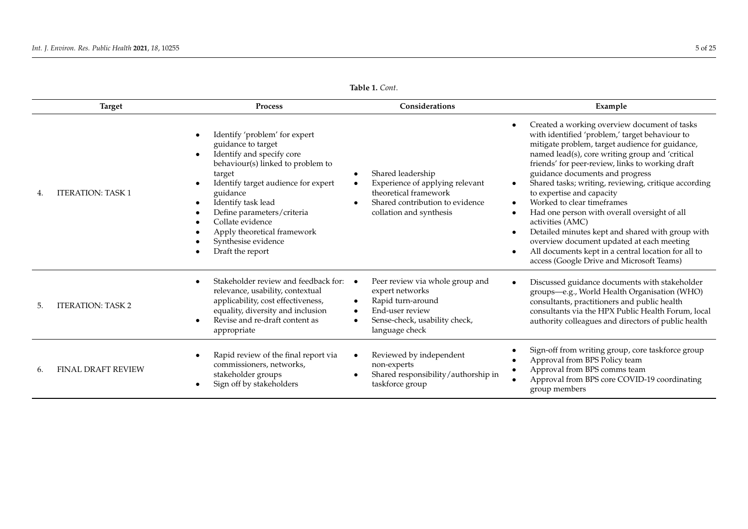|     | <b>Target</b>             | Process                                                                                                                                                                                                                                                                                                                              | Considerations                                                                                                                                             | Example                                                                                                                                                                                                                                                                                                                                                                                                                                                                                                                                                                                                                                                                                                                                                               |
|-----|---------------------------|--------------------------------------------------------------------------------------------------------------------------------------------------------------------------------------------------------------------------------------------------------------------------------------------------------------------------------------|------------------------------------------------------------------------------------------------------------------------------------------------------------|-----------------------------------------------------------------------------------------------------------------------------------------------------------------------------------------------------------------------------------------------------------------------------------------------------------------------------------------------------------------------------------------------------------------------------------------------------------------------------------------------------------------------------------------------------------------------------------------------------------------------------------------------------------------------------------------------------------------------------------------------------------------------|
|     | <b>ITERATION: TASK 1</b>  | Identify 'problem' for expert<br>guidance to target<br>Identify and specify core<br>behaviour(s) linked to problem to<br>target<br>Identify target audience for expert<br>guidance<br>Identify task lead<br>Define parameters/criteria<br>Collate evidence<br>Apply theoretical framework<br>Synthesise evidence<br>Draft the report | Shared leadership<br>Experience of applying relevant<br>theoretical framework<br>Shared contribution to evidence<br>collation and synthesis                | Created a working overview document of tasks<br>$\bullet$<br>with identified 'problem,' target behaviour to<br>mitigate problem, target audience for guidance,<br>named lead(s), core writing group and 'critical<br>friends' for peer-review, links to working draft<br>guidance documents and progress<br>Shared tasks; writing, reviewing, critique according<br>$\bullet$<br>to expertise and capacity<br>Worked to clear timeframes<br>$\bullet$<br>Had one person with overall oversight of all<br>$\bullet$<br>activities (AMC)<br>Detailed minutes kept and shared with group with<br>$\bullet$<br>overview document updated at each meeting<br>All documents kept in a central location for all to<br>$\bullet$<br>access (Google Drive and Microsoft Teams) |
| .5. | <b>ITERATION: TASK 2</b>  | Stakeholder review and feedback for:<br>relevance, usability, contextual<br>applicability, cost effectiveness,<br>equality, diversity and inclusion<br>Revise and re-draft content as<br>appropriate                                                                                                                                 | Peer review via whole group and<br>$\bullet$<br>expert networks<br>Rapid turn-around<br>End-user review<br>Sense-check, usability check,<br>language check | Discussed guidance documents with stakeholder<br>groups-e.g., World Health Organisation (WHO)<br>consultants, practitioners and public health<br>consultants via the HPX Public Health Forum, local<br>authority colleagues and directors of public health                                                                                                                                                                                                                                                                                                                                                                                                                                                                                                            |
| 6.  | <b>FINAL DRAFT REVIEW</b> | Rapid review of the final report via<br>commissioners, networks,<br>stakeholder groups<br>Sign off by stakeholders                                                                                                                                                                                                                   | Reviewed by independent<br>non-experts<br>Shared responsibility/authorship in<br>taskforce group                                                           | Sign-off from writing group, core taskforce group<br>Approval from BPS Policy team<br>Approval from BPS comms team<br>$\bullet$<br>Approval from BPS core COVID-19 coordinating<br>group members                                                                                                                                                                                                                                                                                                                                                                                                                                                                                                                                                                      |

**Table 1.** *Cont*.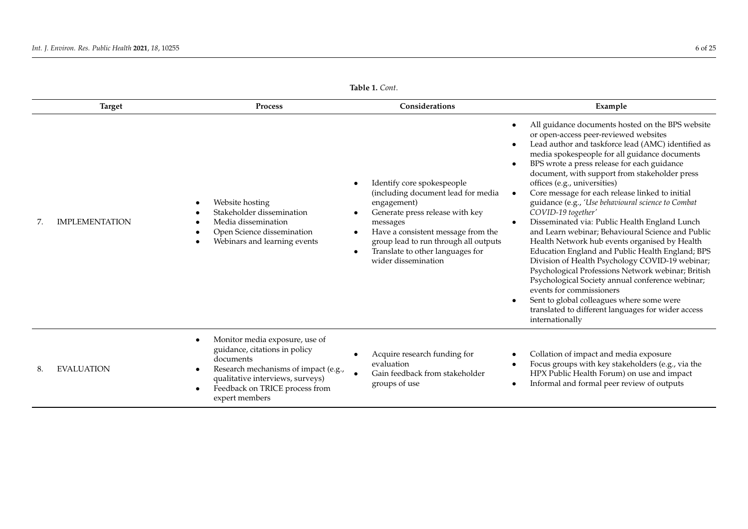<span id="page-6-0"></span>

| <b>Target</b>         | Process                                                                                                                                                                                                      | Considerations                                                                                                                                                                                                                                                                                                  | Example                                                                                                                                                                                                                                                                                                                                                                                                                                                                                                                                                                                                                                                                                                                                                                                                                                                                                                                                                                                                                                                    |
|-----------------------|--------------------------------------------------------------------------------------------------------------------------------------------------------------------------------------------------------------|-----------------------------------------------------------------------------------------------------------------------------------------------------------------------------------------------------------------------------------------------------------------------------------------------------------------|------------------------------------------------------------------------------------------------------------------------------------------------------------------------------------------------------------------------------------------------------------------------------------------------------------------------------------------------------------------------------------------------------------------------------------------------------------------------------------------------------------------------------------------------------------------------------------------------------------------------------------------------------------------------------------------------------------------------------------------------------------------------------------------------------------------------------------------------------------------------------------------------------------------------------------------------------------------------------------------------------------------------------------------------------------|
| <b>IMPLEMENTATION</b> | Website hosting<br>Stakeholder dissemination<br>Media dissemination<br>Open Science dissemination<br>Webinars and learning events                                                                            | Identify core spokespeople<br>$\bullet$<br>(including document lead for media<br>engagement)<br>Generate press release with key<br>messages<br>Have a consistent message from the<br>$\bullet$<br>group lead to run through all outputs<br>Translate to other languages for<br>$\bullet$<br>wider dissemination | All guidance documents hosted on the BPS website<br>$\bullet$<br>or open-access peer-reviewed websites<br>Lead author and taskforce lead (AMC) identified as<br>$\bullet$<br>media spokespeople for all guidance documents<br>BPS wrote a press release for each guidance<br>$\bullet$<br>document, with support from stakeholder press<br>offices (e.g., universities)<br>Core message for each release linked to initial<br>$\bullet$<br>guidance (e.g., 'Use behavioural science to Combat<br>COVID-19 together'<br>Disseminated via: Public Health England Lunch<br>$\bullet$<br>and Learn webinar; Behavioural Science and Public<br>Health Network hub events organised by Health<br>Education England and Public Health England; BPS<br>Division of Health Psychology COVID-19 webinar;<br>Psychological Professions Network webinar; British<br>Psychological Society annual conference webinar;<br>events for commissioners<br>Sent to global colleagues where some were<br>translated to different languages for wider access<br>internationally |
| <b>EVALUATION</b>     | Monitor media exposure, use of<br>guidance, citations in policy<br>documents<br>Research mechanisms of impact (e.g.,<br>qualitative interviews, surveys)<br>Feedback on TRICE process from<br>expert members | Acquire research funding for<br>evaluation<br>Gain feedback from stakeholder<br>groups of use                                                                                                                                                                                                                   | Collation of impact and media exposure<br>$\bullet$<br>Focus groups with key stakeholders (e.g., via the<br>$\bullet$<br>HPX Public Health Forum) on use and impact<br>Informal and formal peer review of outputs<br>$\bullet$                                                                                                                                                                                                                                                                                                                                                                                                                                                                                                                                                                                                                                                                                                                                                                                                                             |

**Table 1.** *Cont*.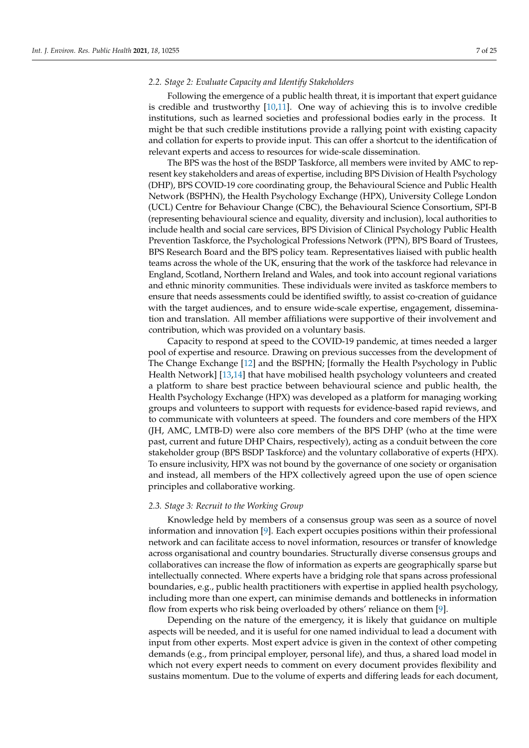## *2.2. Stage 2: Evaluate Capacity and Identify Stakeholders*

Following the emergence of a public health threat, it is important that expert guidance is credible and trustworthy [\[10,](#page-23-9)[11\]](#page-23-10). One way of achieving this is to involve credible institutions, such as learned societies and professional bodies early in the process. It might be that such credible institutions provide a rallying point with existing capacity and collation for experts to provide input. This can offer a shortcut to the identification of relevant experts and access to resources for wide-scale dissemination.

The BPS was the host of the BSDP Taskforce, all members were invited by AMC to represent key stakeholders and areas of expertise, including BPS Division of Health Psychology (DHP), BPS COVID-19 core coordinating group, the Behavioural Science and Public Health Network (BSPHN), the Health Psychology Exchange (HPX), University College London (UCL) Centre for Behaviour Change (CBC), the Behavioural Science Consortium, SPI-B (representing behavioural science and equality, diversity and inclusion), local authorities to include health and social care services, BPS Division of Clinical Psychology Public Health Prevention Taskforce, the Psychological Professions Network (PPN), BPS Board of Trustees, BPS Research Board and the BPS policy team. Representatives liaised with public health teams across the whole of the UK, ensuring that the work of the taskforce had relevance in England, Scotland, Northern Ireland and Wales, and took into account regional variations and ethnic minority communities. These individuals were invited as taskforce members to ensure that needs assessments could be identified swiftly, to assist co-creation of guidance with the target audiences, and to ensure wide-scale expertise, engagement, dissemination and translation. All member affiliations were supportive of their involvement and contribution, which was provided on a voluntary basis.

Capacity to respond at speed to the COVID-19 pandemic, at times needed a larger pool of expertise and resource. Drawing on previous successes from the development of The Change Exchange [\[12\]](#page-23-11) and the BSPHN; [formally the Health Psychology in Public Health Network] [\[13](#page-23-12)[,14\]](#page-23-13) that have mobilised health psychology volunteers and created a platform to share best practice between behavioural science and public health, the Health Psychology Exchange (HPX) was developed as a platform for managing working groups and volunteers to support with requests for evidence-based rapid reviews, and to communicate with volunteers at speed. The founders and core members of the HPX (JH, AMC, LMTB-D) were also core members of the BPS DHP (who at the time were past, current and future DHP Chairs, respectively), acting as a conduit between the core stakeholder group (BPS BSDP Taskforce) and the voluntary collaborative of experts (HPX). To ensure inclusivity, HPX was not bound by the governance of one society or organisation and instead, all members of the HPX collectively agreed upon the use of open science principles and collaborative working.

# *2.3. Stage 3: Recruit to the Working Group*

Knowledge held by members of a consensus group was seen as a source of novel information and innovation [\[9\]](#page-23-8). Each expert occupies positions within their professional network and can facilitate access to novel information, resources or transfer of knowledge across organisational and country boundaries. Structurally diverse consensus groups and collaboratives can increase the flow of information as experts are geographically sparse but intellectually connected. Where experts have a bridging role that spans across professional boundaries, e.g., public health practitioners with expertise in applied health psychology, including more than one expert, can minimise demands and bottlenecks in information flow from experts who risk being overloaded by others' reliance on them [\[9\]](#page-23-8).

Depending on the nature of the emergency, it is likely that guidance on multiple aspects will be needed, and it is useful for one named individual to lead a document with input from other experts. Most expert advice is given in the context of other competing demands (e.g., from principal employer, personal life), and thus, a shared load model in which not every expert needs to comment on every document provides flexibility and sustains momentum. Due to the volume of experts and differing leads for each document,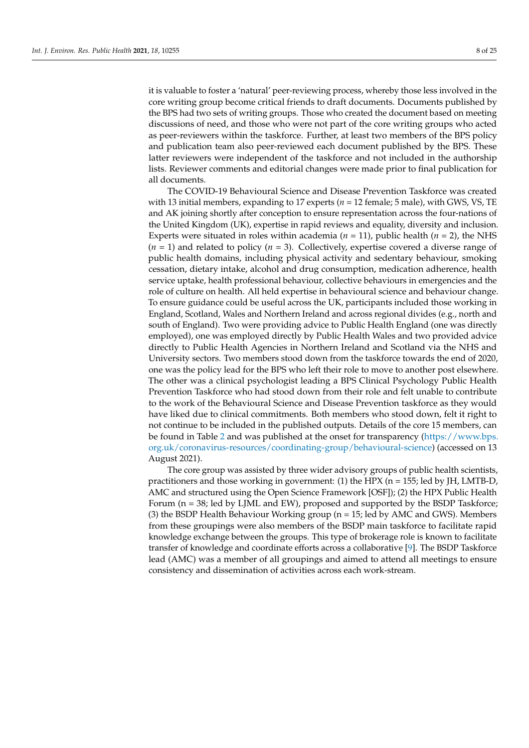it is valuable to foster a 'natural' peer-reviewing process, whereby those less involved in the core writing group become critical friends to draft documents. Documents published by the BPS had two sets of writing groups. Those who created the document based on meeting discussions of need, and those who were not part of the core writing groups who acted as peer-reviewers within the taskforce. Further, at least two members of the BPS policy and publication team also peer-reviewed each document published by the BPS. These latter reviewers were independent of the taskforce and not included in the authorship lists. Reviewer comments and editorial changes were made prior to final publication for all documents.

The COVID-19 Behavioural Science and Disease Prevention Taskforce was created with 13 initial members, expanding to 17 experts ( $n = 12$  female; 5 male), with GWS, VS, TE and AK joining shortly after conception to ensure representation across the four-nations of the United Kingdom (UK), expertise in rapid reviews and equality, diversity and inclusion. Experts were situated in roles within academia ( $n = 11$ ), public health ( $n = 2$ ), the NHS  $(n = 1)$  and related to policy  $(n = 3)$ . Collectively, expertise covered a diverse range of public health domains, including physical activity and sedentary behaviour, smoking cessation, dietary intake, alcohol and drug consumption, medication adherence, health service uptake, health professional behaviour, collective behaviours in emergencies and the role of culture on health. All held expertise in behavioural science and behaviour change. To ensure guidance could be useful across the UK, participants included those working in England, Scotland, Wales and Northern Ireland and across regional divides (e.g., north and south of England). Two were providing advice to Public Health England (one was directly employed), one was employed directly by Public Health Wales and two provided advice directly to Public Health Agencies in Northern Ireland and Scotland via the NHS and University sectors. Two members stood down from the taskforce towards the end of 2020, one was the policy lead for the BPS who left their role to move to another post elsewhere. The other was a clinical psychologist leading a BPS Clinical Psychology Public Health Prevention Taskforce who had stood down from their role and felt unable to contribute to the work of the Behavioural Science and Disease Prevention taskforce as they would have liked due to clinical commitments. Both members who stood down, felt it right to not continue to be included in the published outputs. Details of the core 15 members, can be found in Table [2](#page-10-0) and was published at the onset for transparency [\(https://www.bps.](https://www.bps.org.uk/coronavirus-resources/coordinating-group/behavioural-science) [org.uk/coronavirus-resources/coordinating-group/behavioural-science\)](https://www.bps.org.uk/coronavirus-resources/coordinating-group/behavioural-science) (accessed on 13 August 2021).

The core group was assisted by three wider advisory groups of public health scientists, practitioners and those working in government: (1) the HPX ( $n = 155$ ; led by JH, LMTB-D, AMC and structured using the Open Science Framework [OSF]); (2) the HPX Public Health Forum (n = 38; led by LJML and EW), proposed and supported by the BSDP Taskforce; (3) the BSDP Health Behaviour Working group ( $n = 15$ ; led by AMC and GWS). Members from these groupings were also members of the BSDP main taskforce to facilitate rapid knowledge exchange between the groups. This type of brokerage role is known to facilitate transfer of knowledge and coordinate efforts across a collaborative [\[9\]](#page-23-8). The BSDP Taskforce lead (AMC) was a member of all groupings and aimed to attend all meetings to ensure consistency and dissemination of activities across each work-stream.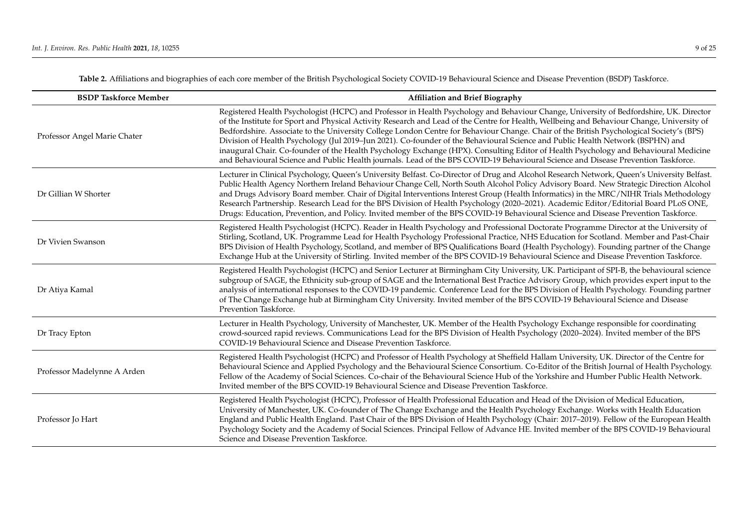| <b>BSDP Taskforce Member</b> | <b>Affiliation and Brief Biography</b>                                                                                                                                                                                                                                                                                                                                                                                                                                                                                                                                                                                                                                                                                                                                                                                                            |
|------------------------------|---------------------------------------------------------------------------------------------------------------------------------------------------------------------------------------------------------------------------------------------------------------------------------------------------------------------------------------------------------------------------------------------------------------------------------------------------------------------------------------------------------------------------------------------------------------------------------------------------------------------------------------------------------------------------------------------------------------------------------------------------------------------------------------------------------------------------------------------------|
| Professor Angel Marie Chater | Registered Health Psychologist (HCPC) and Professor in Health Psychology and Behaviour Change, University of Bedfordshire, UK. Director<br>of the Institute for Sport and Physical Activity Research and Lead of the Centre for Health, Wellbeing and Behaviour Change, University of<br>Bedfordshire. Associate to the University College London Centre for Behaviour Change. Chair of the British Psychological Society's (BPS)<br>Division of Health Psychology (Jul 2019-Jun 2021). Co-founder of the Behavioural Science and Public Health Network (BSPHN) and<br>inaugural Chair. Co-founder of the Health Psychology Exchange (HPX). Consulting Editor of Health Psychology and Behavioural Medicine<br>and Behavioural Science and Public Health journals. Lead of the BPS COVID-19 Behavioural Science and Disease Prevention Taskforce. |
| Dr Gillian W Shorter         | Lecturer in Clinical Psychology, Queen's University Belfast. Co-Director of Drug and Alcohol Research Network, Queen's University Belfast.<br>Public Health Agency Northern Ireland Behaviour Change Cell, North South Alcohol Policy Advisory Board. New Strategic Direction Alcohol<br>and Drugs Advisory Board member. Chair of Digital Interventions Interest Group (Health Informatics) in the MRC/NIHR Trials Methodology<br>Research Partnership. Research Lead for the BPS Division of Health Psychology (2020-2021). Academic Editor/Editorial Board PLoS ONE,<br>Drugs: Education, Prevention, and Policy. Invited member of the BPS COVID-19 Behavioural Science and Disease Prevention Taskforce.                                                                                                                                     |
| Dr Vivien Swanson            | Registered Health Psychologist (HCPC). Reader in Health Psychology and Professional Doctorate Programme Director at the University of<br>Stirling, Scotland, UK. Programme Lead for Health Psychology Professional Practice, NHS Education for Scotland. Member and Past-Chair<br>BPS Division of Health Psychology, Scotland, and member of BPS Qualifications Board (Health Psychology). Founding partner of the Change<br>Exchange Hub at the University of Stirling. Invited member of the BPS COVID-19 Behavioural Science and Disease Prevention Taskforce.                                                                                                                                                                                                                                                                                 |
| Dr Atiya Kamal               | Registered Health Psychologist (HCPC) and Senior Lecturer at Birmingham City University, UK. Participant of SPI-B, the behavioural science<br>subgroup of SAGE, the Ethnicity sub-group of SAGE and the International Best Practice Advisory Group, which provides expert input to the<br>analysis of international responses to the COVID-19 pandemic. Conference Lead for the BPS Division of Health Psychology. Founding partner<br>of The Change Exchange hub at Birmingham City University. Invited member of the BPS COVID-19 Behavioural Science and Disease<br>Prevention Taskforce.                                                                                                                                                                                                                                                      |
| Dr Tracy Epton               | Lecturer in Health Psychology, University of Manchester, UK. Member of the Health Psychology Exchange responsible for coordinating<br>crowd-sourced rapid reviews. Communications Lead for the BPS Division of Health Psychology (2020-2024). Invited member of the BPS<br>COVID-19 Behavioural Science and Disease Prevention Taskforce.                                                                                                                                                                                                                                                                                                                                                                                                                                                                                                         |
| Professor Madelynne A Arden  | Registered Health Psychologist (HCPC) and Professor of Health Psychology at Sheffield Hallam University, UK. Director of the Centre for<br>Behavioural Science and Applied Psychology and the Behavioural Science Consortium. Co-Editor of the British Journal of Health Psychology.<br>Fellow of the Academy of Social Sciences. Co-chair of the Behavioural Science Hub of the Yorkshire and Humber Public Health Network.<br>Invited member of the BPS COVID-19 Behavioural Science and Disease Prevention Taskforce.                                                                                                                                                                                                                                                                                                                          |
| Professor Jo Hart            | Registered Health Psychologist (HCPC), Professor of Health Professional Education and Head of the Division of Medical Education,<br>University of Manchester, UK. Co-founder of The Change Exchange and the Health Psychology Exchange. Works with Health Education<br>England and Public Health England. Past Chair of the BPS Division of Health Psychology (Chair: 2017–2019). Fellow of the European Health<br>Psychology Society and the Academy of Social Sciences. Principal Fellow of Advance HE. Invited member of the BPS COVID-19 Behavioural<br>Science and Disease Prevention Taskforce.                                                                                                                                                                                                                                             |

**Table 2.** Affiliations and biographies of each core member of the British Psychological Society COVID-19 Behavioural Science and Disease Prevention (BSDP) Taskforce.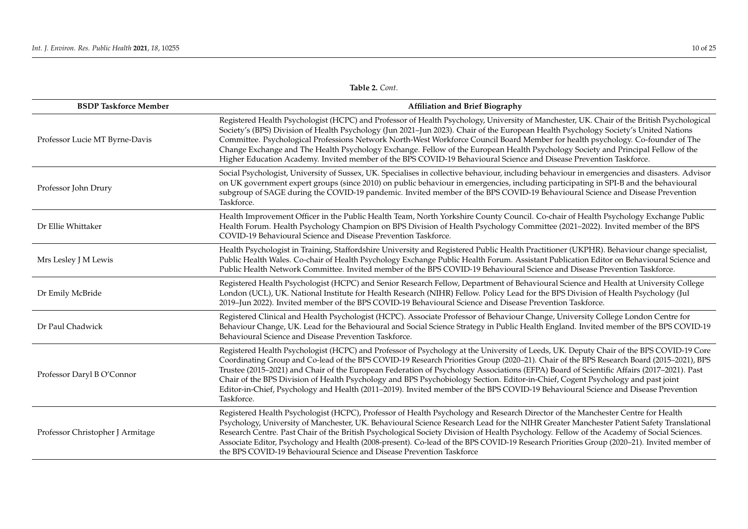**Table 2.** *Cont*.

<span id="page-10-0"></span>

| <b>BSDP Taskforce Member</b>     | <b>Affiliation and Brief Biography</b>                                                                                                                                                                                                                                                                                                                                                                                                                                                                                                                                                                                                                                                                                |
|----------------------------------|-----------------------------------------------------------------------------------------------------------------------------------------------------------------------------------------------------------------------------------------------------------------------------------------------------------------------------------------------------------------------------------------------------------------------------------------------------------------------------------------------------------------------------------------------------------------------------------------------------------------------------------------------------------------------------------------------------------------------|
| Professor Lucie MT Byrne-Davis   | Registered Health Psychologist (HCPC) and Professor of Health Psychology, University of Manchester, UK. Chair of the British Psychological<br>Society's (BPS) Division of Health Psychology (Jun 2021-Jun 2023). Chair of the European Health Psychology Society's United Nations<br>Committee. Psychological Professions Network North-West Workforce Council Board Member for health psychology. Co-founder of The<br>Change Exchange and The Health Psychology Exchange. Fellow of the European Health Psychology Society and Principal Fellow of the<br>Higher Education Academy. Invited member of the BPS COVID-19 Behavioural Science and Disease Prevention Taskforce.                                        |
| Professor John Drury             | Social Psychologist, University of Sussex, UK. Specialises in collective behaviour, including behaviour in emergencies and disasters. Advisor<br>on UK government expert groups (since 2010) on public behaviour in emergencies, including participating in SPI-B and the behavioural<br>subgroup of SAGE during the COVID-19 pandemic. Invited member of the BPS COVID-19 Behavioural Science and Disease Prevention<br>Taskforce.                                                                                                                                                                                                                                                                                   |
| Dr Ellie Whittaker               | Health Improvement Officer in the Public Health Team, North Yorkshire County Council. Co-chair of Health Psychology Exchange Public<br>Health Forum. Health Psychology Champion on BPS Division of Health Psychology Committee (2021-2022). Invited member of the BPS<br>COVID-19 Behavioural Science and Disease Prevention Taskforce.                                                                                                                                                                                                                                                                                                                                                                               |
| Mrs Lesley J M Lewis             | Health Psychologist in Training, Staffordshire University and Registered Public Health Practitioner (UKPHR). Behaviour change specialist,<br>Public Health Wales. Co-chair of Health Psychology Exchange Public Health Forum. Assistant Publication Editor on Behavioural Science and<br>Public Health Network Committee. Invited member of the BPS COVID-19 Behavioural Science and Disease Prevention Taskforce.                                                                                                                                                                                                                                                                                                    |
| Dr Emily McBride                 | Registered Health Psychologist (HCPC) and Senior Research Fellow, Department of Behavioural Science and Health at University College<br>London (UCL), UK. National Institute for Health Research (NIHR) Fellow. Policy Lead for the BPS Division of Health Psychology (Jul<br>2019-Jun 2022). Invited member of the BPS COVID-19 Behavioural Science and Disease Prevention Taskforce.                                                                                                                                                                                                                                                                                                                                |
| Dr Paul Chadwick                 | Registered Clinical and Health Psychologist (HCPC). Associate Professor of Behaviour Change, University College London Centre for<br>Behaviour Change, UK. Lead for the Behavioural and Social Science Strategy in Public Health England. Invited member of the BPS COVID-19<br>Behavioural Science and Disease Prevention Taskforce.                                                                                                                                                                                                                                                                                                                                                                                 |
| Professor Daryl B O'Connor       | Registered Health Psychologist (HCPC) and Professor of Psychology at the University of Leeds, UK. Deputy Chair of the BPS COVID-19 Core<br>Coordinating Group and Co-lead of the BPS COVID-19 Research Priorities Group (2020-21). Chair of the BPS Research Board (2015-2021), BPS<br>Trustee (2015–2021) and Chair of the European Federation of Psychology Associations (EFPA) Board of Scientific Affairs (2017–2021). Past<br>Chair of the BPS Division of Health Psychology and BPS Psychobiology Section. Editor-in-Chief, Cogent Psychology and past joint<br>Editor-in-Chief, Psychology and Health (2011-2019). Invited member of the BPS COVID-19 Behavioural Science and Disease Prevention<br>Taskforce. |
| Professor Christopher J Armitage | Registered Health Psychologist (HCPC), Professor of Health Psychology and Research Director of the Manchester Centre for Health<br>Psychology, University of Manchester, UK. Behavioural Science Research Lead for the NIHR Greater Manchester Patient Safety Translational<br>Research Centre. Past Chair of the British Psychological Society Division of Health Psychology. Fellow of the Academy of Social Sciences.<br>Associate Editor, Psychology and Health (2008-present). Co-lead of the BPS COVID-19 Research Priorities Group (2020-21). Invited member of<br>the BPS COVID-19 Behavioural Science and Disease Prevention Taskforce                                                                       |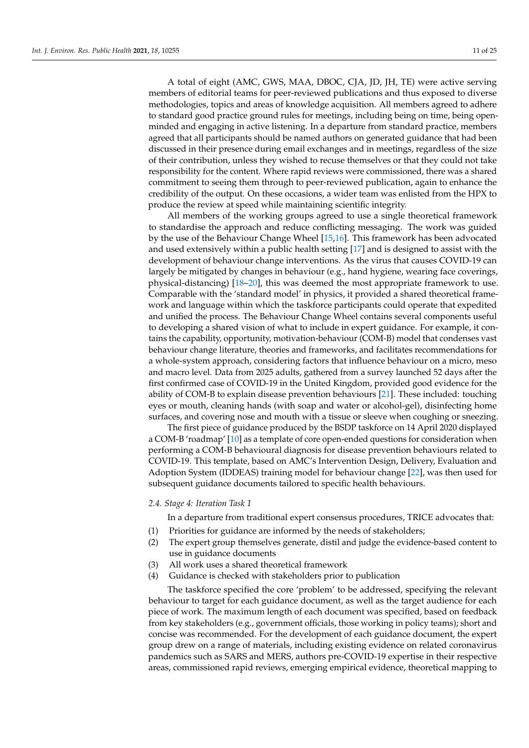A total of eight (AMC, GWS, MAA, DBOC, CJA, JD, JH, TE) were active serving members of editorial teams for peer-reviewed publications and thus exposed to diverse methodologies, topics and areas of knowledge acquisition. All members agreed to adhere to standard good practice ground rules for meetings, including being on time, being openminded and engaging in active listening. In a departure from standard practice, members agreed that all participants should be named authors on generated guidance that had been discussed in their presence during email exchanges and in meetings, regardless of the size of their contribution, unless they wished to recuse themselves or that they could not take responsibility for the content. Where rapid reviews were commissioned, there was a shared commitment to seeing them through to peer-reviewed publication, again to enhance the credibility of the output. On these occasions, a wider team was enlisted from the HPX to produce the review at speed while maintaining scientific integrity.

All members of the working groups agreed to use a single theoretical framework to standardise the approach and reduce conflicting messaging. The work was guided by the use of the Behaviour Change Wheel [\[15,](#page-23-14)[16\]](#page-23-15). This framework has been advocated and used extensively within a public health setting [\[17\]](#page-23-16) and is designed to assist with the development of behaviour change interventions. As the virus that causes COVID-19 can largely be mitigated by changes in behaviour (e.g., hand hygiene, wearing face coverings, physical-distancing) [\[18–](#page-23-17)[20\]](#page-23-18), this was deemed the most appropriate framework to use. Comparable with the 'standard model' in physics, it provided a shared theoretical framework and language within which the taskforce participants could operate that expedited and unified the process. The Behaviour Change Wheel contains several components useful to developing a shared vision of what to include in expert guidance. For example, it contains the capability, opportunity, motivation-behaviour (COM-B) model that condenses vast behaviour change literature, theories and frameworks, and facilitates recommendations for a whole-system approach, considering factors that influence behaviour on a micro, meso and macro level. Data from 2025 adults, gathered from a survey launched 52 days after the first confirmed case of COVID-19 in the United Kingdom, provided good evidence for the ability of COM-B to explain disease prevention behaviours [\[21\]](#page-24-0). These included: touching eyes or mouth, cleaning hands (with soap and water or alcohol-gel), disinfecting home surfaces, and covering nose and mouth with a tissue or sleeve when coughing or sneezing.

The first piece of guidance produced by the BSDP taskforce on 14 April 2020 displayed a COM-B 'roadmap' [\[10\]](#page-23-9) as a template of core open-ended questions for consideration when performing a COM-B behavioural diagnosis for disease prevention behaviours related to COVID-19. This template, based on AMC's Intervention Design, Delivery, Evaluation and Adoption System (IDDEAS) training model for behaviour change [\[22\]](#page-24-1), was then used for subsequent guidance documents tailored to specific health behaviours.

# *2.4. Stage 4: Iteration Task 1*

In a departure from traditional expert consensus procedures, TRICE advocates that:

- (1) Priorities for guidance are informed by the needs of stakeholders;
- (2) The expert group themselves generate, distil and judge the evidence-based content to use in guidance documents
- (3) All work uses a shared theoretical framework
- (4) Guidance is checked with stakeholders prior to publication

The taskforce specified the core 'problem' to be addressed, specifying the relevant behaviour to target for each guidance document, as well as the target audience for each piece of work. The maximum length of each document was specified, based on feedback from key stakeholders (e.g., government officials, those working in policy teams); short and concise was recommended. For the development of each guidance document, the expert group drew on a range of materials, including existing evidence on related coronavirus pandemics such as SARS and MERS, authors pre-COVID-19 expertise in their respective areas, commissioned rapid reviews, emerging empirical evidence, theoretical mapping to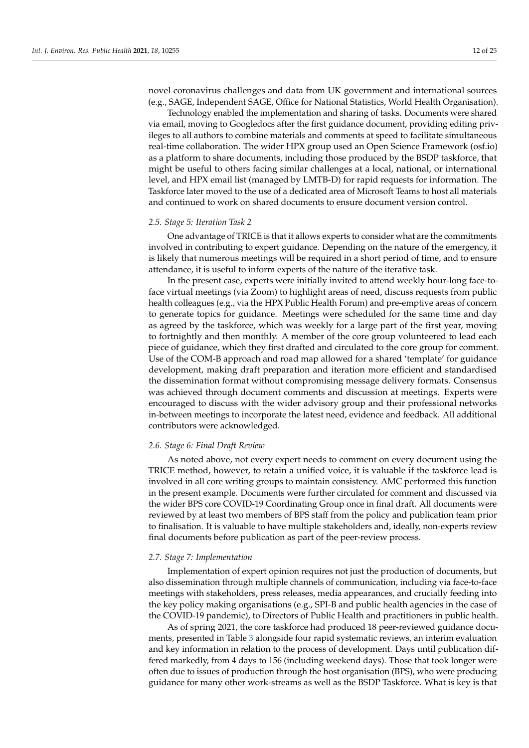novel coronavirus challenges and data from UK government and international sources (e.g., SAGE, Independent SAGE, Office for National Statistics, World Health Organisation).

Technology enabled the implementation and sharing of tasks. Documents were shared via email, moving to Googledocs after the first guidance document, providing editing privileges to all authors to combine materials and comments at speed to facilitate simultaneous real-time collaboration. The wider HPX group used an Open Science Framework (osf.io) as a platform to share documents, including those produced by the BSDP taskforce, that might be useful to others facing similar challenges at a local, national, or international level, and HPX email list (managed by LMTB-D) for rapid requests for information. The Taskforce later moved to the use of a dedicated area of Microsoft Teams to host all materials and continued to work on shared documents to ensure document version control.

# *2.5. Stage 5: Iteration Task 2*

One advantage of TRICE is that it allows experts to consider what are the commitments involved in contributing to expert guidance. Depending on the nature of the emergency, it is likely that numerous meetings will be required in a short period of time, and to ensure attendance, it is useful to inform experts of the nature of the iterative task.

In the present case, experts were initially invited to attend weekly hour-long face-toface virtual meetings (via Zoom) to highlight areas of need, discuss requests from public health colleagues (e.g., via the HPX Public Health Forum) and pre-emptive areas of concern to generate topics for guidance. Meetings were scheduled for the same time and day as agreed by the taskforce, which was weekly for a large part of the first year, moving to fortnightly and then monthly. A member of the core group volunteered to lead each piece of guidance, which they first drafted and circulated to the core group for comment. Use of the COM-B approach and road map allowed for a shared 'template' for guidance development, making draft preparation and iteration more efficient and standardised the dissemination format without compromising message delivery formats. Consensus was achieved through document comments and discussion at meetings. Experts were encouraged to discuss with the wider advisory group and their professional networks in-between meetings to incorporate the latest need, evidence and feedback. All additional contributors were acknowledged.

#### *2.6. Stage 6: Final Draft Review*

As noted above, not every expert needs to comment on every document using the TRICE method, however, to retain a unified voice, it is valuable if the taskforce lead is involved in all core writing groups to maintain consistency. AMC performed this function in the present example. Documents were further circulated for comment and discussed via the wider BPS core COVID-19 Coordinating Group once in final draft. All documents were reviewed by at least two members of BPS staff from the policy and publication team prior to finalisation. It is valuable to have multiple stakeholders and, ideally, non-experts review final documents before publication as part of the peer-review process.

### *2.7. Stage 7: Implementation*

Implementation of expert opinion requires not just the production of documents, but also dissemination through multiple channels of communication, including via face-to-face meetings with stakeholders, press releases, media appearances, and crucially feeding into the key policy making organisations (e.g., SPI-B and public health agencies in the case of the COVID-19 pandemic), to Directors of Public Health and practitioners in public health.

As of spring 2021, the core taskforce had produced 18 peer-reviewed guidance documents, presented in Table [3](#page-19-0) alongside four rapid systematic reviews, an interim evaluation and key information in relation to the process of development. Days until publication differed markedly, from 4 days to 156 (including weekend days). Those that took longer were often due to issues of production through the host organisation (BPS), who were producing guidance for many other work-streams as well as the BSDP Taskforce. What is key is that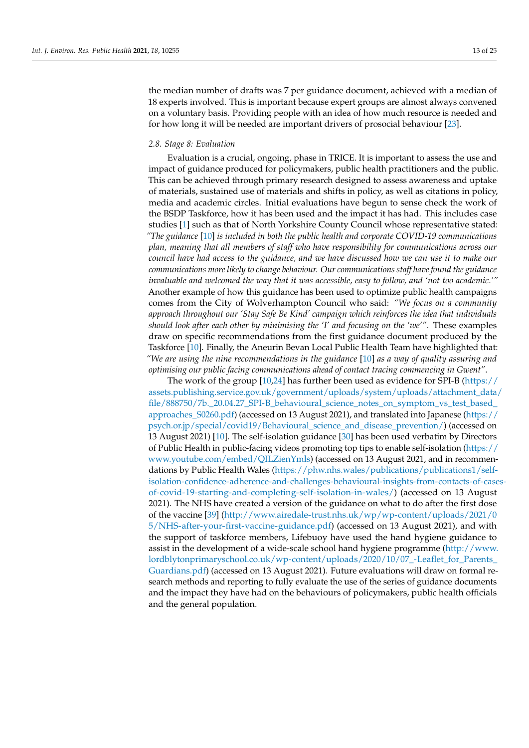the median number of drafts was 7 per guidance document, achieved with a median of 18 experts involved. This is important because expert groups are almost always convened on a voluntary basis. Providing people with an idea of how much resource is needed and for how long it will be needed are important drivers of prosocial behaviour [\[23\]](#page-24-2).

#### *2.8. Stage 8: Evaluation*

Evaluation is a crucial, ongoing, phase in TRICE. It is important to assess the use and impact of guidance produced for policymakers, public health practitioners and the public. This can be achieved through primary research designed to assess awareness and uptake of materials, sustained use of materials and shifts in policy, as well as citations in policy, media and academic circles. Initial evaluations have begun to sense check the work of the BSDP Taskforce, how it has been used and the impact it has had. This includes case studies [\[1\]](#page-23-0) such as that of North Yorkshire County Council whose representative stated: *"The guidance* [\[10\]](#page-23-9) *is included in both the public health and corporate COVID-19 communications plan, meaning that all members of staff who have responsibility for communications across our council have had access to the guidance, and we have discussed how we can use it to make our communications more likely to change behaviour. Our communications staff have found the guidance invaluable and welcomed the way that it was accessible, easy to follow, and 'not too academic.'"* Another example of how this guidance has been used to optimize public health campaigns comes from the City of Wolverhampton Council who said: *"We focus on a community approach throughout our 'Stay Safe Be Kind' campaign which reinforces the idea that individuals should look after each other by minimising the 'I' and focusing on the 'we'"*. These examples draw on specific recommendations from the first guidance document produced by the Taskforce [\[10\]](#page-23-9). Finally, the Aneurin Bevan Local Public Health Team have highlighted that: *"We are using the nine recommendations in the guidance* [\[10\]](#page-23-9) *as a way of quality assuring and optimising our public facing communications ahead of contact tracing commencing in Gwent"*.

The work of the group [\[10](#page-23-9)[,24\]](#page-24-3) has further been used as evidence for SPI-B [\(https://](https://assets.publishing.service.gov.uk/government/uploads/system/uploads/attachment_data/file/888750/7b._20.04.27_SPI-B_behavioural_science_notes_on_symptom_vs_test_based_approaches_S0260.pdf) [assets.publishing.service.gov.uk/government/uploads/system/uploads/attachment\\_data/](https://assets.publishing.service.gov.uk/government/uploads/system/uploads/attachment_data/file/888750/7b._20.04.27_SPI-B_behavioural_science_notes_on_symptom_vs_test_based_approaches_S0260.pdf) [file/888750/7b.\\_20.04.27\\_SPI-B\\_behavioural\\_science\\_notes\\_on\\_symptom\\_vs\\_test\\_based\\_](https://assets.publishing.service.gov.uk/government/uploads/system/uploads/attachment_data/file/888750/7b._20.04.27_SPI-B_behavioural_science_notes_on_symptom_vs_test_based_approaches_S0260.pdf) [approaches\\_S0260.pdf\)](https://assets.publishing.service.gov.uk/government/uploads/system/uploads/attachment_data/file/888750/7b._20.04.27_SPI-B_behavioural_science_notes_on_symptom_vs_test_based_approaches_S0260.pdf) (accessed on 13 August 2021), and translated into Japanese [\(https://](https://psych.or.jp/special/covid19/Behavioural_science_and_disease_prevention/) [psych.or.jp/special/covid19/Behavioural\\_science\\_and\\_disease\\_prevention/\)](https://psych.or.jp/special/covid19/Behavioural_science_and_disease_prevention/) (accessed on 13 August 2021) [\[10\]](#page-23-9). The self-isolation guidance [\[30\]](#page-24-4) has been used verbatim by Directors of Public Health in public-facing videos promoting top tips to enable self-isolation [\(https://](https://www.youtube.com/embed/QILZienYmls) [www.youtube.com/embed/QILZienYmls\)](https://www.youtube.com/embed/QILZienYmls) (accessed on 13 August 2021, and in recommen-dations by Public Health Wales [\(https://phw.nhs.wales/publications/publications1/self](https://phw.nhs.wales/publications/publications1/self-isolation-confidence-adherence-and-challenges-behavioural-insights-from-contacts-of-cases-of-covid-19-starting-and-completing-self-isolation-in-wales/)[isolation-confidence-adherence-and-challenges-behavioural-insights-from-contacts-of-case](https://phw.nhs.wales/publications/publications1/self-isolation-confidence-adherence-and-challenges-behavioural-insights-from-contacts-of-cases-of-covid-19-starting-and-completing-self-isolation-in-wales/)s[of-covid-19-starting-and-completing-self-isolation-in-wales/\)](https://phw.nhs.wales/publications/publications1/self-isolation-confidence-adherence-and-challenges-behavioural-insights-from-contacts-of-cases-of-covid-19-starting-and-completing-self-isolation-in-wales/) (accessed on 13 August 2021). The NHS have created a version of the guidance on what to do after the first dose of the vaccine [\[39\]](#page-25-0) [\(http://www.airedale-trust.nhs.uk/wp/wp-content/uploads/2021/0](http://www.airedale-trust.nhs.uk/wp/wp-content/uploads/2021/05/NHS-after-your-first-vaccine-guidance.pdf) [5/NHS-after-your-first-vaccine-guidance.pdf\)](http://www.airedale-trust.nhs.uk/wp/wp-content/uploads/2021/05/NHS-after-your-first-vaccine-guidance.pdf) (accessed on 13 August 2021), and with the support of taskforce members, Lifebuoy have used the hand hygiene guidance to assist in the development of a wide-scale school hand hygiene programme [\(http://www.](http://www.lordblytonprimaryschool.co.uk/wp-content/uploads/2020/10/07_-Leaflet_for_Parents_Guardians.pdf) [lordblytonprimaryschool.co.uk/wp-content/uploads/2020/10/07\\_-Leaflet\\_for\\_Parents\\_](http://www.lordblytonprimaryschool.co.uk/wp-content/uploads/2020/10/07_-Leaflet_for_Parents_Guardians.pdf) [Guardians.pdf\)](http://www.lordblytonprimaryschool.co.uk/wp-content/uploads/2020/10/07_-Leaflet_for_Parents_Guardians.pdf) (accessed on 13 August 2021). Future evaluations will draw on formal research methods and reporting to fully evaluate the use of the series of guidance documents and the impact they have had on the behaviours of policymakers, public health officials and the general population.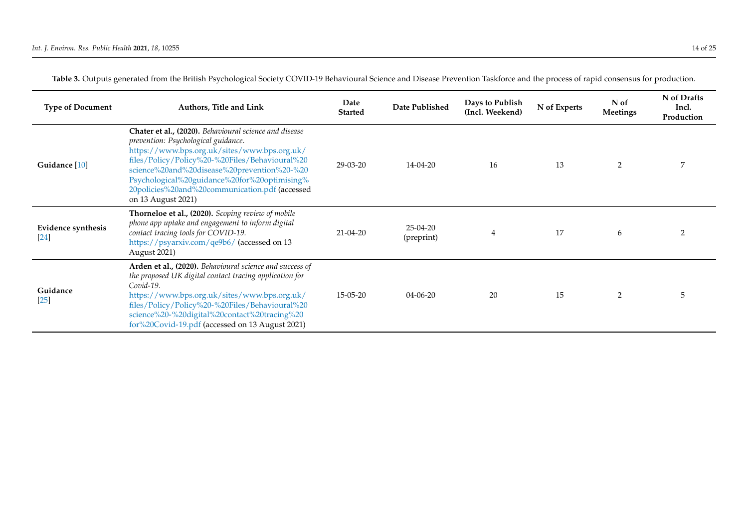| <b>Type of Document</b>         | <b>Authors, Title and Link</b>                                                                                                                                                                                                                                                                                                                                         | Date<br><b>Started</b> | Date Published           | Days to Publish<br>(Incl. Weekend) | N of Experts | N of<br><b>Meetings</b> | N of Drafts<br>Incl.<br>Production |
|---------------------------------|------------------------------------------------------------------------------------------------------------------------------------------------------------------------------------------------------------------------------------------------------------------------------------------------------------------------------------------------------------------------|------------------------|--------------------------|------------------------------------|--------------|-------------------------|------------------------------------|
| Guidance [10]                   | Chater et al., (2020). Behavioural science and disease<br>prevention: Psychological guidance.<br>https://www.bps.org.uk/sites/www.bps.org.uk/<br>files/Policy/Policy%20-%20Files/Behavioural%20<br>science%20and%20disease%20prevention%20-%20<br>Psychological%20guidance%20for%20optimising%<br>20policies%20and%20communication.pdf (accessed<br>on 13 August 2021) | $29 - 03 - 20$         | 14-04-20                 | 16                                 | 13           | 2                       |                                    |
| Evidence synthesis<br><b>24</b> | Thorneloe et al., (2020). Scoping review of mobile<br>phone app uptake and engagement to inform digital<br>contact tracing tools for COVID-19.<br>https://psyarxiv.com/qe9b6/ (accessed on 13<br>August 2021)                                                                                                                                                          | $21 - 04 - 20$         | $25-04-20$<br>(preprint) | 4                                  | 17           | 6                       |                                    |
| Guidance<br>$[25]$              | Arden et al., (2020). Behavioural science and success of<br>the proposed UK digital contact tracing application for<br>Covid-19.<br>https://www.bps.org.uk/sites/www.bps.org.uk/<br>files/Policy/Policy%20-%20Files/Behavioural%20<br>science%20-%20digital%20contact%20tracing%20<br>for%20Covid-19.pdf (accessed on 13 August 2021)                                  | 15-05-20               | $04 - 06 - 20$           | 20                                 | 15           | 2                       | ۰,                                 |

**Table 3.** Outputs generated from the British Psychological Society COVID-19 Behavioural Science and Disease Prevention Taskforce and the process of rapid consensus for production.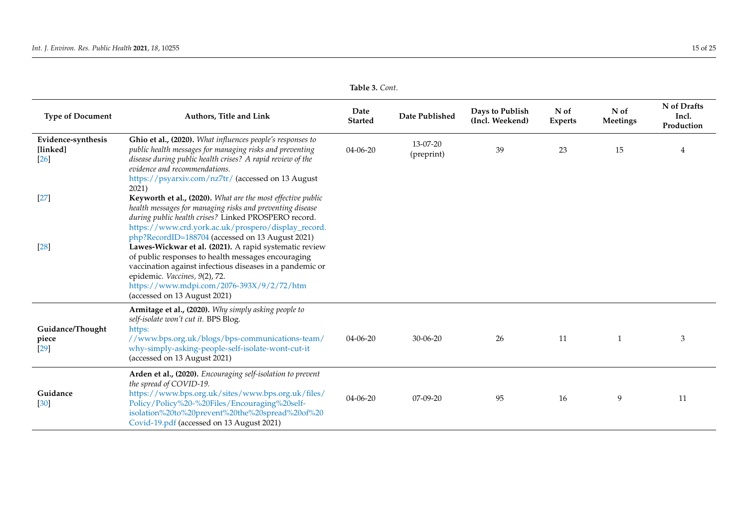|                                        |                                                                                                                                                                                                                                                                                                                                                                                                                                                                                                                                                                                       | rapic <i>J.</i> Com.   |                        |                                    |                        |                  |                                    |
|----------------------------------------|---------------------------------------------------------------------------------------------------------------------------------------------------------------------------------------------------------------------------------------------------------------------------------------------------------------------------------------------------------------------------------------------------------------------------------------------------------------------------------------------------------------------------------------------------------------------------------------|------------------------|------------------------|------------------------------------|------------------------|------------------|------------------------------------|
| <b>Type of Document</b>                | Authors, Title and Link                                                                                                                                                                                                                                                                                                                                                                                                                                                                                                                                                               | Date<br><b>Started</b> | Date Published         | Days to Publish<br>(Incl. Weekend) | N of<br><b>Experts</b> | N of<br>Meetings | N of Drafts<br>Incl.<br>Production |
| Evidence-synthesis<br>[linked]<br>[26] | Ghio et al., (2020). What influences people's responses to<br>public health messages for managing risks and preventing<br>disease during public health crises? A rapid review of the<br>evidence and recommendations.<br>https://psyarxiv.com/nz7tr/ (accessed on 13 August<br>2021)                                                                                                                                                                                                                                                                                                  | 04-06-20               | 13-07-20<br>(preprint) | 39                                 | 23                     | 15               |                                    |
| $[27]$<br>[28]                         | Keyworth et al., (2020). What are the most effective public<br>health messages for managing risks and preventing disease<br>during public health crises? Linked PROSPERO record.<br>https://www.crd.york.ac.uk/prospero/display_record.<br>php?RecordID=188704 (accessed on 13 August 2021)<br>Lawes-Wickwar et al. (2021). A rapid systematic review<br>of public responses to health messages encouraging<br>vaccination against infectious diseases in a pandemic or<br>epidemic. Vaccines, 9(2), 72.<br>https://www.mdpi.com/2076-393X/9/2/72/htm<br>(accessed on 13 August 2021) |                        |                        |                                    |                        |                  |                                    |
| Guidance/Thought<br>piece<br>$[29]$    | Armitage et al., (2020). Why simply asking people to<br>self-isolate won't cut it. BPS Blog.<br>https:<br>//www.bps.org.uk/blogs/bps-communications-team/<br>why-simply-asking-people-self-isolate-wont-cut-it<br>(accessed on 13 August 2021)                                                                                                                                                                                                                                                                                                                                        | $04 - 06 - 20$         | $30 - 06 - 20$         | 26                                 | 11                     |                  | 3                                  |
| Guidance<br>$[30]$                     | Arden et al., (2020). Encouraging self-isolation to prevent<br>the spread of COVID-19.<br>https://www.bps.org.uk/sites/www.bps.org.uk/files/<br>Policy/Policy%20-%20Files/Encouraging%20self-<br>isolation%20to%20prevent%20the%20spread%20of%20<br>Covid-19.pdf (accessed on 13 August 2021)                                                                                                                                                                                                                                                                                         | $04 - 06 - 20$         | $07-09-20$             | 95                                 | 16                     | 9                | 11                                 |

**Table 3.** *Cont*.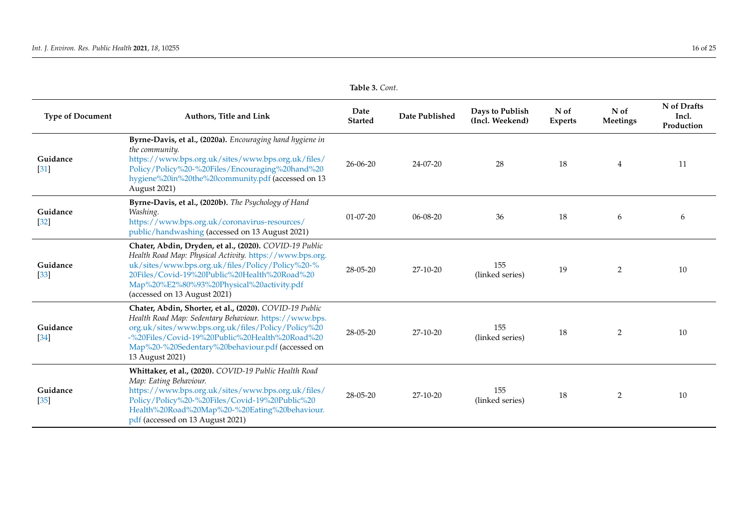| <b>Type of Document</b>        | Authors, Title and Link                                                                                                                                                                                                                                                                             | Date<br><b>Started</b> | Date Published | Days to Publish<br>(Incl. Weekend) | N of<br><b>Experts</b> | N of<br>Meetings | N of Drafts<br>Incl.<br>Production |
|--------------------------------|-----------------------------------------------------------------------------------------------------------------------------------------------------------------------------------------------------------------------------------------------------------------------------------------------------|------------------------|----------------|------------------------------------|------------------------|------------------|------------------------------------|
| Guidance<br>$[31]$             | Byrne-Davis, et al., (2020a). Encouraging hand hygiene in<br>the community.<br>https://www.bps.org.uk/sites/www.bps.org.uk/files/<br>Policy/Policy%20-%20Files/Encouraging%20hand%20<br>hygiene%20in%20the%20community.pdf (accessed on 13<br><b>August 2021)</b>                                   | $26 - 06 - 20$         | 24-07-20       | 28                                 | 18                     | 4                | 11                                 |
| Guidance<br>$[32]$             | Byrne-Davis, et al., (2020b). The Psychology of Hand<br>Washing.<br>https://www.bps.org.uk/coronavirus-resources/<br>public/handwashing (accessed on 13 August 2021)                                                                                                                                | $01 - 07 - 20$         | $06 - 08 - 20$ | 36                                 | 18                     | 6                | 6                                  |
| Guidance<br>$\lceil 33 \rceil$ | Chater, Abdin, Dryden, et al., (2020). COVID-19 Public<br>Health Road Map: Physical Activity. https://www.bps.org.<br>uk/sites/www.bps.org.uk/files/Policy/Policy%20-%<br>20Files/Covid-19%20Public%20Health%20Road%20<br>Map%20%E2%80%93%20Physical%20activity.pdf<br>(accessed on 13 August 2021) | $28 - 05 - 20$         | $27-10-20$     | 155<br>(linked series)             | 19                     | $\overline{2}$   | 10                                 |
| Guidance<br>$[34]$             | Chater, Abdin, Shorter, et al., (2020). COVID-19 Public<br>Health Road Map: Sedentary Behaviour. https://www.bps.<br>org.uk/sites/www.bps.org.uk/files/Policy/Policy%20<br>-%20Files/Covid-19%20Public%20Health%20Road%20<br>Map%20-%20Sedentary%20behaviour.pdf (accessed on<br>13 August 2021)    | 28-05-20               | 27-10-20       | 155<br>(linked series)             | 18                     | 2                | 10                                 |
| Guidance<br>$[35]$             | Whittaker, et al., (2020). COVID-19 Public Health Road<br>Map: Eating Behaviour.<br>https://www.bps.org.uk/sites/www.bps.org.uk/files/<br>Policy/Policy%20-%20Files/Covid-19%20Public%20<br>Health%20Road%20Map%20-%20Eating%20behaviour.<br>pdf (accessed on 13 August 2021)                       | 28-05-20               | 27-10-20       | 155<br>(linked series)             | 18                     | $\overline{2}$   | 10                                 |

**Table 3.** *Cont*.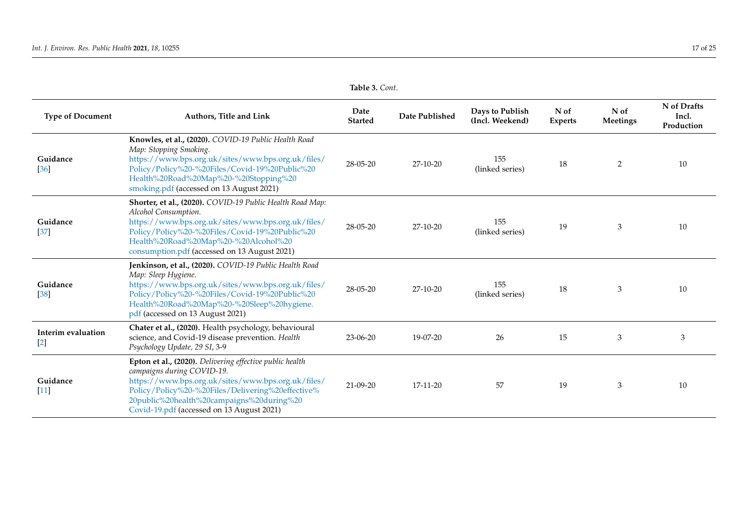|                             |                                                                                                                                                                                                                                                                                             | ravit J. Com.          |                |                                    |                        |                  |                                    |
|-----------------------------|---------------------------------------------------------------------------------------------------------------------------------------------------------------------------------------------------------------------------------------------------------------------------------------------|------------------------|----------------|------------------------------------|------------------------|------------------|------------------------------------|
| <b>Type of Document</b>     | Authors, Title and Link                                                                                                                                                                                                                                                                     | Date<br><b>Started</b> | Date Published | Days to Publish<br>(Incl. Weekend) | N of<br><b>Experts</b> | N of<br>Meetings | N of Drafts<br>Incl.<br>Production |
| Guidance<br>$[36]$          | Knowles, et al., (2020). COVID-19 Public Health Road<br>Map: Stopping Smoking.<br>https://www.bps.org.uk/sites/www.bps.org.uk/files/<br>Policy/Policy%20-%20Files/Covid-19%20Public%20<br>Health%20Road%20Map%20-%20Stopping%20<br>smoking.pdf (accessed on 13 August 2021)                 | 28-05-20               | 27-10-20       | 155<br>(linked series)             | 18                     | $\overline{2}$   | 10                                 |
| Guidance<br>$[37]$          | Shorter, et al., (2020). COVID-19 Public Health Road Map:<br>Alcohol Consumption.<br>https://www.bps.org.uk/sites/www.bps.org.uk/files/<br>Policy/Policy%20-%20Files/Covid-19%20Public%20<br>Health%20Road%20Map%20-%20Alcohol%20<br>consumption.pdf (accessed on 13 August 2021)           | 28-05-20               | 27-10-20       | 155<br>(linked series)             | 19                     | 3                | 10                                 |
| Guidance<br>$[38]$          | Jenkinson, et al., (2020). COVID-19 Public Health Road<br>Map: Sleep Hygiene.<br>https://www.bps.org.uk/sites/www.bps.org.uk/files/<br>Policy/Policy%20-%20Files/Covid-19%20Public%20<br>Health%20Road%20Map%20-%20Sleep%20hygiene.<br>pdf (accessed on 13 August 2021)                     | 28-05-20               | 27-10-20       | 155<br>(linked series)             | 18                     | 3                | 10                                 |
| Interim evaluation<br>$[2]$ | Chater et al., (2020). Health psychology, behavioural<br>science, and Covid-19 disease prevention. Health<br>Psychology Update, 29 SI, 3-9                                                                                                                                                  | 23-06-20               | 19-07-20       | 26                                 | 15                     | 3                | 3                                  |
| Guidance<br>$[11]$          | Epton et al., (2020). Delivering effective public health<br>campaigns during COVID-19.<br>https://www.bps.org.uk/sites/www.bps.org.uk/files/<br>Policy/Policy%20-%20Files/Delivering%20effective%<br>20public%20health%20campaigns%20during%20<br>Covid-19.pdf (accessed on 13 August 2021) | $21 - 09 - 20$         | 17-11-20       | 57                                 | 19                     | 3                | 10                                 |

**Table 3.** *Cont*.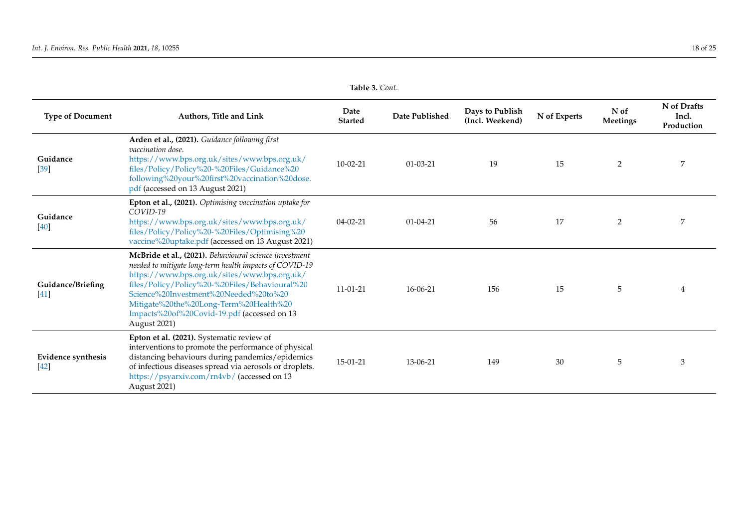| <b>Type of Document</b>      | Authors, Title and Link                                                                                                                                                                                                                                                                                                                                               | Date<br><b>Started</b> | Date Published | Days to Publish<br>(Incl. Weekend) | N of Experts | N of<br>Meetings | N of Drafts<br>Incl.<br>Production |
|------------------------------|-----------------------------------------------------------------------------------------------------------------------------------------------------------------------------------------------------------------------------------------------------------------------------------------------------------------------------------------------------------------------|------------------------|----------------|------------------------------------|--------------|------------------|------------------------------------|
| Guidance<br>$[39]$           | Arden et al., (2021). Guidance following first<br><i>vaccination dose.</i><br>https://www.bps.org.uk/sites/www.bps.org.uk/<br>files/Policy/Policy%20-%20Files/Guidance%20<br>following%20your%20first%20vaccination%20dose.<br>pdf (accessed on 13 August 2021)                                                                                                       | $10 - 02 - 21$         | $01 - 03 - 21$ | 19                                 | 15           | $\overline{2}$   | 7                                  |
| Guidance<br>$[40]$           | Epton et al., (2021). Optimising vaccination uptake for<br>COVID-19<br>https://www.bps.org.uk/sites/www.bps.org.uk/<br>files/Policy/Policy%20-%20Files/Optimising%20<br>vaccine%20uptake.pdf (accessed on 13 August 2021)                                                                                                                                             | $04 - 02 - 21$         | $01 - 04 - 21$ | 56                                 | 17           | $\overline{2}$   | 7                                  |
| Guidance/Briefing<br>$[41]$  | McBride et al., (2021). Behavioural science investment<br>needed to mitigate long-term health impacts of COVID-19<br>https://www.bps.org.uk/sites/www.bps.org.uk/<br>files/Policy/Policy%20-%20Files/Behavioural%20<br>Science%20Investment%20Needed%20to%20<br>Mitigate%20the%20Long-Term%20Health%20<br>Impacts%20of%20Covid-19.pdf (accessed on 13<br>August 2021) | $11 - 01 - 21$         | 16-06-21       | 156                                | 15           | 5                |                                    |
| Evidence synthesis<br>$[42]$ | Epton et al. (2021). Systematic review of<br>interventions to promote the performance of physical<br>distancing behaviours during pandemics/epidemics<br>of infectious diseases spread via aerosols or droplets.<br>https://psyarxiv.com/rn4vb/ (accessed on 13<br>August 2021)                                                                                       | 15-01-21               | 13-06-21       | 149                                | 30           | 5                | 3                                  |

**Table 3.** *Cont*.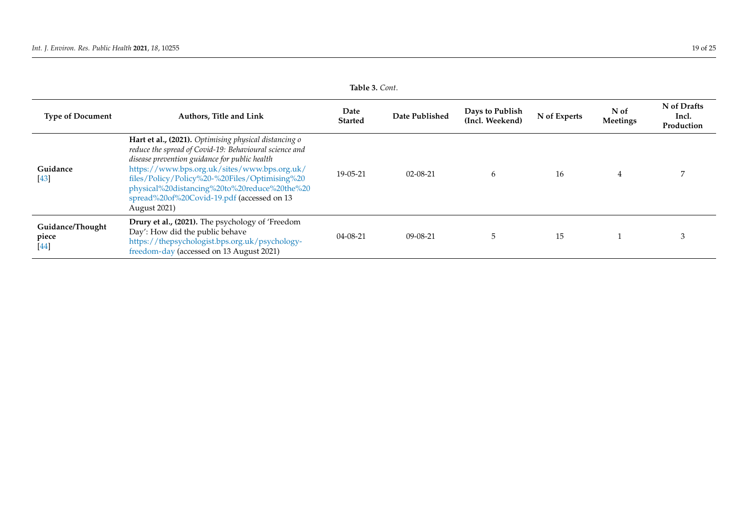<span id="page-19-0"></span>

| Taple 5. Com.                       |                                                                                                                                                                                                                                                                                                                                                                                 |                        |                |                                    |              |                  |                                    |  |
|-------------------------------------|---------------------------------------------------------------------------------------------------------------------------------------------------------------------------------------------------------------------------------------------------------------------------------------------------------------------------------------------------------------------------------|------------------------|----------------|------------------------------------|--------------|------------------|------------------------------------|--|
| <b>Type of Document</b>             | Authors, Title and Link                                                                                                                                                                                                                                                                                                                                                         | Date<br><b>Started</b> | Date Published | Days to Publish<br>(Incl. Weekend) | N of Experts | N of<br>Meetings | N of Drafts<br>Incl.<br>Production |  |
| Guidance<br>$[43]$                  | Hart et al., (2021). Optimising physical distancing o<br>reduce the spread of Covid-19: Behavioural science and<br>disease prevention guidance for public health<br>https://www.bps.org.uk/sites/www.bps.org.uk/<br>files/Policy/Policy%20-%20Files/Optimising%20<br>physical%20distancing%20to%20reduce%20the%20<br>spread%20of%20Covid-19.pdf (accessed on 13<br>August 2021) | $19-0.5-21$            | $02 - 08 - 21$ | 6                                  | 16           | 4                |                                    |  |
| Guidance/Thought<br>piece<br>$[44]$ | Drury et al., (2021). The psychology of 'Freedom<br>Day': How did the public behave<br>https://thepsychologist.bps.org.uk/psychology-<br>freedom-day (accessed on 13 August 2021)                                                                                                                                                                                               | $04 - 08 - 21$         | $09 - 08 - 21$ | 5                                  | 15           |                  |                                    |  |

**Table 3.** *Cont*.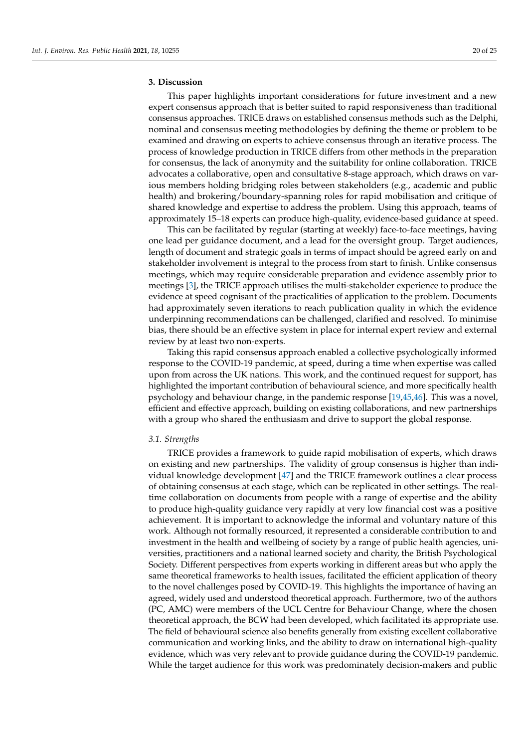# **3. Discussion**

This paper highlights important considerations for future investment and a new expert consensus approach that is better suited to rapid responsiveness than traditional consensus approaches. TRICE draws on established consensus methods such as the Delphi, nominal and consensus meeting methodologies by defining the theme or problem to be examined and drawing on experts to achieve consensus through an iterative process. The process of knowledge production in TRICE differs from other methods in the preparation for consensus, the lack of anonymity and the suitability for online collaboration. TRICE advocates a collaborative, open and consultative 8-stage approach, which draws on various members holding bridging roles between stakeholders (e.g., academic and public health) and brokering/boundary-spanning roles for rapid mobilisation and critique of shared knowledge and expertise to address the problem. Using this approach, teams of approximately 15–18 experts can produce high-quality, evidence-based guidance at speed.

This can be facilitated by regular (starting at weekly) face-to-face meetings, having one lead per guidance document, and a lead for the oversight group. Target audiences, length of document and strategic goals in terms of impact should be agreed early on and stakeholder involvement is integral to the process from start to finish. Unlike consensus meetings, which may require considerable preparation and evidence assembly prior to meetings [\[3\]](#page-23-2), the TRICE approach utilises the multi-stakeholder experience to produce the evidence at speed cognisant of the practicalities of application to the problem. Documents had approximately seven iterations to reach publication quality in which the evidence underpinning recommendations can be challenged, clarified and resolved. To minimise bias, there should be an effective system in place for internal expert review and external review by at least two non-experts.

Taking this rapid consensus approach enabled a collective psychologically informed response to the COVID-19 pandemic, at speed, during a time when expertise was called upon from across the UK nations. This work, and the continued request for support, has highlighted the important contribution of behavioural science, and more specifically health psychology and behaviour change, in the pandemic response [\[19](#page-23-22)[,45](#page-25-9)[,46\]](#page-25-10). This was a novel, efficient and effective approach, building on existing collaborations, and new partnerships with a group who shared the enthusiasm and drive to support the global response.

#### *3.1. Strengths*

TRICE provides a framework to guide rapid mobilisation of experts, which draws on existing and new partnerships. The validity of group consensus is higher than individual knowledge development [\[47\]](#page-25-11) and the TRICE framework outlines a clear process of obtaining consensus at each stage, which can be replicated in other settings. The realtime collaboration on documents from people with a range of expertise and the ability to produce high-quality guidance very rapidly at very low financial cost was a positive achievement. It is important to acknowledge the informal and voluntary nature of this work. Although not formally resourced, it represented a considerable contribution to and investment in the health and wellbeing of society by a range of public health agencies, universities, practitioners and a national learned society and charity, the British Psychological Society. Different perspectives from experts working in different areas but who apply the same theoretical frameworks to health issues, facilitated the efficient application of theory to the novel challenges posed by COVID-19. This highlights the importance of having an agreed, widely used and understood theoretical approach. Furthermore, two of the authors (PC, AMC) were members of the UCL Centre for Behaviour Change, where the chosen theoretical approach, the BCW had been developed, which facilitated its appropriate use. The field of behavioural science also benefits generally from existing excellent collaborative communication and working links, and the ability to draw on international high-quality evidence, which was very relevant to provide guidance during the COVID-19 pandemic. While the target audience for this work was predominately decision-makers and public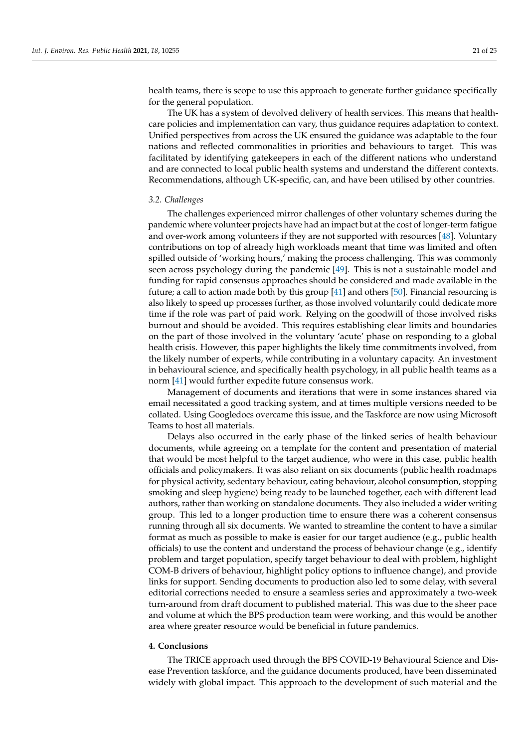health teams, there is scope to use this approach to generate further guidance specifically for the general population.

The UK has a system of devolved delivery of health services. This means that healthcare policies and implementation can vary, thus guidance requires adaptation to context. Unified perspectives from across the UK ensured the guidance was adaptable to the four nations and reflected commonalities in priorities and behaviours to target. This was facilitated by identifying gatekeepers in each of the different nations who understand and are connected to local public health systems and understand the different contexts. Recommendations, although UK-specific, can, and have been utilised by other countries.

#### *3.2. Challenges*

The challenges experienced mirror challenges of other voluntary schemes during the pandemic where volunteer projects have had an impact but at the cost of longer-term fatigue and over-work among volunteers if they are not supported with resources [\[48\]](#page-25-12). Voluntary contributions on top of already high workloads meant that time was limited and often spilled outside of 'working hours,' making the process challenging. This was commonly seen across psychology during the pandemic [\[49\]](#page-25-13). This is not a sustainable model and funding for rapid consensus approaches should be considered and made available in the future; a call to action made both by this group [\[41\]](#page-25-14) and others [\[50\]](#page-25-15). Financial resourcing is also likely to speed up processes further, as those involved voluntarily could dedicate more time if the role was part of paid work. Relying on the goodwill of those involved risks burnout and should be avoided. This requires establishing clear limits and boundaries on the part of those involved in the voluntary 'acute' phase on responding to a global health crisis. However, this paper highlights the likely time commitments involved, from the likely number of experts, while contributing in a voluntary capacity. An investment in behavioural science, and specifically health psychology, in all public health teams as a norm [\[41\]](#page-25-14) would further expedite future consensus work.

Management of documents and iterations that were in some instances shared via email necessitated a good tracking system, and at times multiple versions needed to be collated. Using Googledocs overcame this issue, and the Taskforce are now using Microsoft Teams to host all materials.

Delays also occurred in the early phase of the linked series of health behaviour documents, while agreeing on a template for the content and presentation of material that would be most helpful to the target audience, who were in this case, public health officials and policymakers. It was also reliant on six documents (public health roadmaps for physical activity, sedentary behaviour, eating behaviour, alcohol consumption, stopping smoking and sleep hygiene) being ready to be launched together, each with different lead authors, rather than working on standalone documents. They also included a wider writing group. This led to a longer production time to ensure there was a coherent consensus running through all six documents. We wanted to streamline the content to have a similar format as much as possible to make is easier for our target audience (e.g., public health officials) to use the content and understand the process of behaviour change (e.g., identify problem and target population, specify target behaviour to deal with problem, highlight COM-B drivers of behaviour, highlight policy options to influence change), and provide links for support. Sending documents to production also led to some delay, with several editorial corrections needed to ensure a seamless series and approximately a two-week turn-around from draft document to published material. This was due to the sheer pace and volume at which the BPS production team were working, and this would be another area where greater resource would be beneficial in future pandemics.

# **4. Conclusions**

The TRICE approach used through the BPS COVID-19 Behavioural Science and Disease Prevention taskforce, and the guidance documents produced, have been disseminated widely with global impact. This approach to the development of such material and the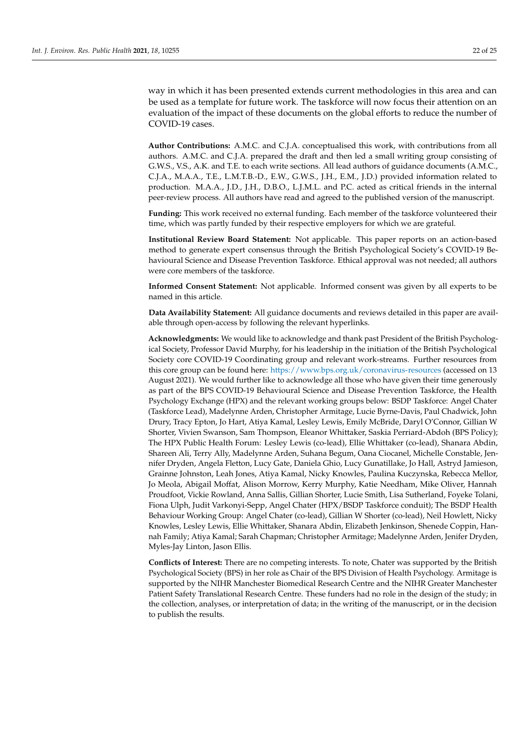way in which it has been presented extends current methodologies in this area and can be used as a template for future work. The taskforce will now focus their attention on an evaluation of the impact of these documents on the global efforts to reduce the number of COVID-19 cases.

**Author Contributions:** A.M.C. and C.J.A. conceptualised this work, with contributions from all authors. A.M.C. and C.J.A. prepared the draft and then led a small writing group consisting of G.W.S., V.S., A.K. and T.E. to each write sections. All lead authors of guidance documents (A.M.C., C.J.A., M.A.A., T.E., L.M.T.B.-D., E.W., G.W.S., J.H., E.M., J.D.) provided information related to production. M.A.A., J.D., J.H., D.B.O., L.J.M.L. and P.C. acted as critical friends in the internal peer-review process. All authors have read and agreed to the published version of the manuscript.

**Funding:** This work received no external funding. Each member of the taskforce volunteered their time, which was partly funded by their respective employers for which we are grateful.

**Institutional Review Board Statement:** Not applicable. This paper reports on an action-based method to generate expert consensus through the British Psychological Society's COVID-19 Behavioural Science and Disease Prevention Taskforce. Ethical approval was not needed; all authors were core members of the taskforce.

**Informed Consent Statement:** Not applicable. Informed consent was given by all experts to be named in this article.

**Data Availability Statement:** All guidance documents and reviews detailed in this paper are available through open-access by following the relevant hyperlinks.

**Acknowledgments:** We would like to acknowledge and thank past President of the British Psychological Society, Professor David Murphy, for his leadership in the initiation of the British Psychological Society core COVID-19 Coordinating group and relevant work-streams. Further resources from this core group can be found here: <https://www.bps.org.uk/coronavirus-resources> (accessed on 13 August 2021). We would further like to acknowledge all those who have given their time generously as part of the BPS COVID-19 Behavioural Science and Disease Prevention Taskforce, the Health Psychology Exchange (HPX) and the relevant working groups below: BSDP Taskforce: Angel Chater (Taskforce Lead), Madelynne Arden, Christopher Armitage, Lucie Byrne-Davis, Paul Chadwick, John Drury, Tracy Epton, Jo Hart, Atiya Kamal, Lesley Lewis, Emily McBride, Daryl O'Connor, Gillian W Shorter, Vivien Swanson, Sam Thompson, Eleanor Whittaker, Saskia Perriard-Abdoh (BPS Policy); The HPX Public Health Forum: Lesley Lewis (co-lead), Ellie Whittaker (co-lead), Shanara Abdin, Shareen Ali, Terry Ally, Madelynne Arden, Suhana Begum, Oana Ciocanel, Michelle Constable, Jennifer Dryden, Angela Fletton, Lucy Gate, Daniela Ghio, Lucy Gunatillake, Jo Hall, Astryd Jamieson, Grainne Johnston, Leah Jones, Atiya Kamal, Nicky Knowles, Paulina Kuczynska, Rebecca Mellor, Jo Meola, Abigail Moffat, Alison Morrow, Kerry Murphy, Katie Needham, Mike Oliver, Hannah Proudfoot, Vickie Rowland, Anna Sallis, Gillian Shorter, Lucie Smith, Lisa Sutherland, Foyeke Tolani, Fiona Ulph, Judit Varkonyi-Sepp, Angel Chater (HPX/BSDP Taskforce conduit); The BSDP Health Behaviour Working Group: Angel Chater (co-lead), Gillian W Shorter (co-lead), Neil Howlett, Nicky Knowles, Lesley Lewis, Ellie Whittaker, Shanara Abdin, Elizabeth Jenkinson, Shenede Coppin, Hannah Family; Atiya Kamal; Sarah Chapman; Christopher Armitage; Madelynne Arden, Jenifer Dryden, Myles-Jay Linton, Jason Ellis.

**Conflicts of Interest:** There are no competing interests. To note, Chater was supported by the British Psychological Society (BPS) in her role as Chair of the BPS Division of Health Psychology. Armitage is supported by the NIHR Manchester Biomedical Research Centre and the NIHR Greater Manchester Patient Safety Translational Research Centre. These funders had no role in the design of the study; in the collection, analyses, or interpretation of data; in the writing of the manuscript, or in the decision to publish the results.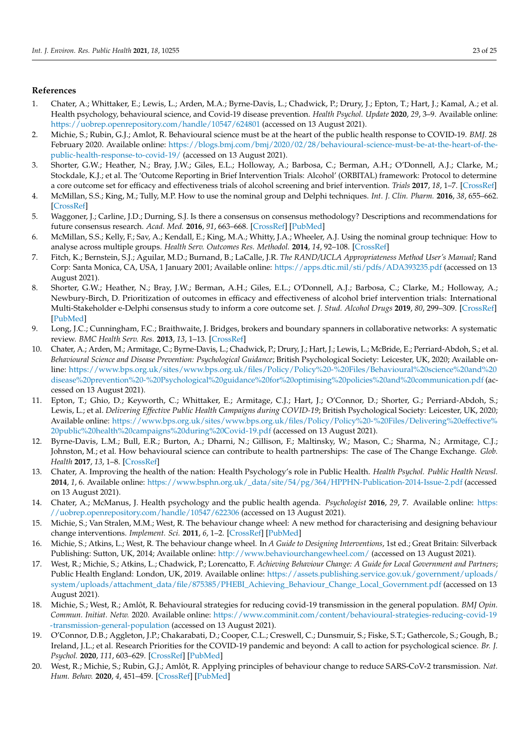# <span id="page-23-20"></span>**References**

- <span id="page-23-0"></span>1. Chater, A.; Whittaker, E.; Lewis, L.; Arden, M.A.; Byrne-Davis, L.; Chadwick, P.; Drury, J.; Epton, T.; Hart, J.; Kamal, A.; et al. Health psychology, behavioural science, and Covid-19 disease prevention. *Health Psychol. Update* **2020**, *29*, 3–9. Available online: <https://uobrep.openrepository.com/handle/10547/624801> (accessed on 13 August 2021).
- <span id="page-23-19"></span><span id="page-23-1"></span>2. Michie, S.; Rubin, G.J.; Amlot, R. Behavioural science must be at the heart of the public health response to COVID-19. *BMJ*. 28 February 2020. Available online: [https://blogs.bmj.com/bmj/2020/02/28/behavioural-science-must-be-at-the-heart-of-the](https://blogs.bmj.com/bmj/2020/02/28/behavioural-science-must-be-at-the-heart-of-the-public-health-response-to-covid-19/)[public-health-response-to-covid-19/](https://blogs.bmj.com/bmj/2020/02/28/behavioural-science-must-be-at-the-heart-of-the-public-health-response-to-covid-19/) (accessed on 13 August 2021).
- <span id="page-23-21"></span><span id="page-23-2"></span>3. Shorter, G.W.; Heather, N.; Bray, J.W.; Giles, E.L.; Holloway, A.; Barbosa, C.; Berman, A.H.; O'Donnell, A.J.; Clarke, M.; Stockdale, K.J.; et al. The 'Outcome Reporting in Brief Intervention Trials: Alcohol' (ORBITAL) framework: Protocol to determine a core outcome set for efficacy and effectiveness trials of alcohol screening and brief intervention. *Trials* **2017**, *18*, 1–7. [\[CrossRef\]](http://doi.org/10.1186/s13063-017-2335-3)
- <span id="page-23-3"></span>4. McMillan, S.S.; King, M.; Tully, M.P. How to use the nominal group and Delphi techniques. *Int. J. Clin. Pharm.* **2016**, *38*, 655–662. [\[CrossRef\]](http://doi.org/10.1007/s11096-016-0257-x)
- <span id="page-23-4"></span>5. Waggoner, J.; Carline, J.D.; Durning, S.J. Is there a consensus on consensus methodology? Descriptions and recommendations for future consensus research. *Acad. Med.* **2016**, *91*, 663–668. [\[CrossRef\]](http://doi.org/10.1097/ACM.0000000000001092) [\[PubMed\]](http://www.ncbi.nlm.nih.gov/pubmed/26796090)
- <span id="page-23-5"></span>6. McMillan, S.S.; Kelly, F.; Sav, A.; Kendall, E.; King, M.A.; Whitty, J.A.; Wheeler, A.J. Using the nominal group technique: How to analyse across multiple groups. *Health Serv. Outcomes Res. Methodol.* **2014**, *14*, 92–108. [\[CrossRef\]](http://doi.org/10.1007/s10742-014-0121-1)
- <span id="page-23-6"></span>7. Fitch, K.; Bernstein, S.J.; Aguilar, M.D.; Burnand, B.; LaCalle, J.R. *The RAND/UCLA Appropriateness Method User's Manual*; Rand Corp: Santa Monica, CA, USA, 1 January 2001; Available online: <https://apps.dtic.mil/sti/pdfs/ADA393235.pdf> (accessed on 13 August 2021).
- <span id="page-23-7"></span>8. Shorter, G.W.; Heather, N.; Bray, J.W.; Berman, A.H.; Giles, E.L.; O'Donnell, A.J.; Barbosa, C.; Clarke, M.; Holloway, A.; Newbury-Birch, D. Prioritization of outcomes in efficacy and effectiveness of alcohol brief intervention trials: International Multi-Stakeholder e-Delphi consensus study to inform a core outcome set. *J. Stud. Alcohol Drugs* **2019**, *80*, 299–309. [\[CrossRef\]](http://doi.org/10.15288/jsad.2019.80.299) [\[PubMed\]](http://www.ncbi.nlm.nih.gov/pubmed/31250794)
- <span id="page-23-8"></span>9. Long, J.C.; Cunningham, F.C.; Braithwaite, J. Bridges, brokers and boundary spanners in collaborative networks: A systematic review. *BMC Health Serv. Res.* **2013**, *13*, 1–13. [\[CrossRef\]](http://doi.org/10.1186/1472-6963-13-158)
- <span id="page-23-9"></span>10. Chater, A.; Arden, M.; Armitage, C.; Byrne-Davis, L.; Chadwick, P.; Drury, J.; Hart, J.; Lewis, L.; McBride, E.; Perriard-Abdoh, S.; et al. *Behavioural Science and Disease Prevention: Psychological Guidance*; British Psychological Society: Leicester, UK, 2020; Available online: [https://www.bps.org.uk/sites/www.bps.org.uk/files/Policy/Policy%20-%20Files/Behavioural%20science%20and%20](https://www.bps.org.uk/sites/www.bps.org.uk/files/Policy/Policy%20-%20Files/Behavioural%20science%20and%20disease%20prevention%20-%20Psychological%20guidance%20for%20optimising%20policies%20and%20communication.pdf) [disease%20prevention%20-%20Psychological%20guidance%20for%20optimising%20policies%20and%20communication.pdf](https://www.bps.org.uk/sites/www.bps.org.uk/files/Policy/Policy%20-%20Files/Behavioural%20science%20and%20disease%20prevention%20-%20Psychological%20guidance%20for%20optimising%20policies%20and%20communication.pdf) (accessed on 13 August 2021).
- <span id="page-23-10"></span>11. Epton, T.; Ghio, D.; Keyworth, C.; Whittaker, E.; Armitage, C.J.; Hart, J.; O'Connor, D.; Shorter, G.; Perriard-Abdoh, S.; Lewis, L.; et al. *Delivering Effective Public Health Campaigns during COVID-19*; British Psychological Society: Leicester, UK, 2020; Available online: [https://www.bps.org.uk/sites/www.bps.org.uk/files/Policy/Policy%20-%20Files/Delivering%20effective%](https://www.bps.org.uk/sites/www.bps.org.uk/files/Policy/Policy%20-%20Files/Delivering%20effective%20public%20health%20campaigns%20during%20Covid-19.pdf) [20public%20health%20campaigns%20during%20Covid-19.pdf](https://www.bps.org.uk/sites/www.bps.org.uk/files/Policy/Policy%20-%20Files/Delivering%20effective%20public%20health%20campaigns%20during%20Covid-19.pdf) (accessed on 13 August 2021).
- <span id="page-23-11"></span>12. Byrne-Davis, L.M.; Bull, E.R.; Burton, A.; Dharni, N.; Gillison, F.; Maltinsky, W.; Mason, C.; Sharma, N.; Armitage, C.J.; Johnston, M.; et al. How behavioural science can contribute to health partnerships: The case of The Change Exchange. *Glob. Health* **2017**, *13*, 1–8. [\[CrossRef\]](http://doi.org/10.1186/s12992-017-0254-4)
- <span id="page-23-12"></span>13. Chater, A. Improving the health of the nation: Health Psychology's role in Public Health. *Health Psychol. Public Health Newsl.* **2014**, *1*, 6. Available online: [https://www.bsphn.org.uk/\\_data/site/54/pg/364/HPPHN-Publication-2014-Issue-2.pdf](https://www.bsphn.org.uk/_data/site/54/pg/364/HPPHN-Publication-2014-Issue-2.pdf) (accessed on 13 August 2021).
- <span id="page-23-13"></span>14. Chater, A.; McManus, J. Health psychology and the public health agenda. *Psychologist* **2016**, *29*, 7. Available online: [https:](https://uobrep.openrepository.com/handle/10547/622306) [//uobrep.openrepository.com/handle/10547/622306](https://uobrep.openrepository.com/handle/10547/622306) (accessed on 13 August 2021).
- <span id="page-23-14"></span>15. Michie, S.; Van Stralen, M.M.; West, R. The behaviour change wheel: A new method for characterising and designing behaviour change interventions. *Implement. Sci.* **2011**, *6*, 1–2. [\[CrossRef\]](http://doi.org/10.1186/1748-5908-6-42) [\[PubMed\]](http://www.ncbi.nlm.nih.gov/pubmed/21513547)
- <span id="page-23-15"></span>16. Michie, S.; Atkins, L.; West, R. The behaviour change wheel. In *A Guide to Designing Interventions*, 1st ed.; Great Britain: Silverback Publishing: Sutton, UK, 2014; Available online: <http://www.behaviourchangewheel.com/> (accessed on 13 August 2021).
- <span id="page-23-16"></span>17. West, R.; Michie, S.; Atkins, L.; Chadwick, P.; Lorencatto, F. *Achieving Behaviour Change: A Guide for Local Government and Partners*; Public Health England: London, UK, 2019. Available online: [https://assets.publishing.service.gov.uk/government/uploads/](https://assets.publishing.service.gov.uk/government/uploads/system/uploads/attachment_data/file/875385/PHEBI_Achieving_Behaviour_Change_Local_Government.pdf) [system/uploads/attachment\\_data/file/875385/PHEBI\\_Achieving\\_Behaviour\\_Change\\_Local\\_Government.pdf](https://assets.publishing.service.gov.uk/government/uploads/system/uploads/attachment_data/file/875385/PHEBI_Achieving_Behaviour_Change_Local_Government.pdf) (accessed on 13 August 2021).
- <span id="page-23-17"></span>18. Michie, S.; West, R.; Amlôt, R. Behavioural strategies for reducing covid-19 transmission in the general population. *BMJ Opin. Commun. Initiat. Netw.* 2020. Available online: [https://www.comminit.com/content/behavioural-strategies-reducing-covid-19](https://www.comminit.com/content/behavioural-strategies-reducing-covid-19-transmission-general-population) [-transmission-general-population](https://www.comminit.com/content/behavioural-strategies-reducing-covid-19-transmission-general-population) (accessed on 13 August 2021).
- <span id="page-23-22"></span>19. O'Connor, D.B.; Aggleton, J.P.; Chakarabati, D.; Cooper, C.L.; Creswell, C.; Dunsmuir, S.; Fiske, S.T.; Gathercole, S.; Gough, B.; Ireland, J.L.; et al. Research Priorities for the COVID-19 pandemic and beyond: A call to action for psychological science. *Br. J. Psychol.* **2020**, *111*, 603–629. [\[CrossRef\]](http://doi.org/10.1111/bjop.12468) [\[PubMed\]](http://www.ncbi.nlm.nih.gov/pubmed/32683689)
- <span id="page-23-18"></span>20. West, R.; Michie, S.; Rubin, G.J.; Amlôt, R. Applying principles of behaviour change to reduce SARS-CoV-2 transmission. *Nat. Hum. Behav.* **2020**, *4*, 451–459. [\[CrossRef\]](http://doi.org/10.1038/s41562-020-0887-9) [\[PubMed\]](http://www.ncbi.nlm.nih.gov/pubmed/32377018)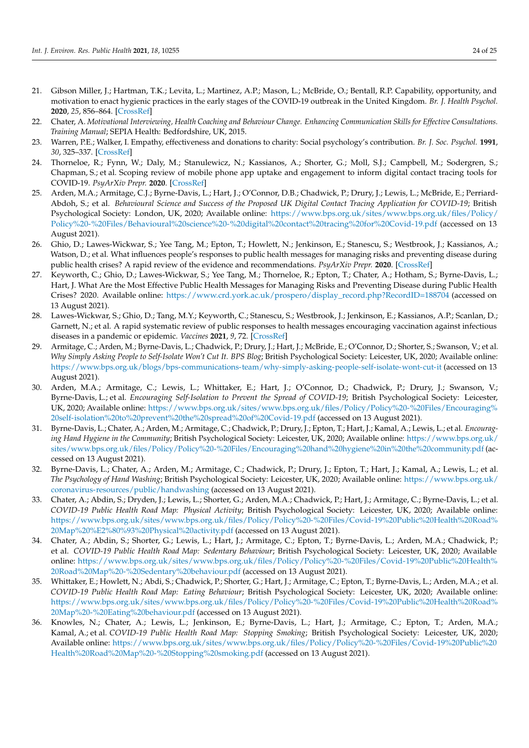- <span id="page-24-9"></span><span id="page-24-8"></span><span id="page-24-7"></span><span id="page-24-6"></span><span id="page-24-5"></span><span id="page-24-0"></span>21. Gibson Miller, J.; Hartman, T.K.; Levita, L.; Martinez, A.P.; Mason, L.; McBride, O.; Bentall, R.P. Capability, opportunity, and motivation to enact hygienic practices in the early stages of the COVID-19 outbreak in the United Kingdom. *Br. J. Health Psychol.* **2020**, *25*, 856–864. [\[CrossRef\]](http://doi.org/10.1111/bjhp.12426)
- <span id="page-24-10"></span><span id="page-24-1"></span>22. Chater, A. *Motivational Interviewing, Health Coaching and Behaviour Change. Enhancing Communication Skills for Effective Consultations. Training Manual*; SEPIA Health: Bedfordshire, UK, 2015.
- <span id="page-24-2"></span>23. Warren, P.E.; Walker, I. Empathy, effectiveness and donations to charity: Social psychology's contribution. *Br. J. Soc. Psychol.* **1991**, *30*, 325–337. [\[CrossRef\]](http://doi.org/10.1111/j.2044-8309.1991.tb00949.x)
- <span id="page-24-11"></span><span id="page-24-3"></span>24. Thorneloe, R.; Fynn, W.; Daly, M.; Stanulewicz, N.; Kassianos, A.; Shorter, G.; Moll, S.J.; Campbell, M.; Sodergren, S.; Chapman, S.; et al. Scoping review of mobile phone app uptake and engagement to inform digital contact tracing tools for COVID-19. *PsyArXiv Prepr.* **2020**. [\[CrossRef\]](http://doi.org/10.31234/osf.io/qe9b6)
- <span id="page-24-12"></span>25. Arden, M.A.; Armitage, C.J.; Byrne-Davis, L.; Hart, J.; O'Connor, D.B.; Chadwick, P.; Drury, J.; Lewis, L.; McBride, E.; Perriard-Abdoh, S.; et al. *Behavioural Science and Success of the Proposed UK Digital Contact Tracing Application for COVID-19*; British Psychological Society: London, UK, 2020; Available online: [https://www.bps.org.uk/sites/www.bps.org.uk/files/Policy/](https://www.bps.org.uk/sites/www.bps.org.uk/files/Policy/Policy%20-%20Files/Behavioural%20science%20-%20digital%20contact%20tracing%20for%20Covid-19.pdf) [Policy%20-%20Files/Behavioural%20science%20-%20digital%20contact%20tracing%20for%20Covid-19.pdf](https://www.bps.org.uk/sites/www.bps.org.uk/files/Policy/Policy%20-%20Files/Behavioural%20science%20-%20digital%20contact%20tracing%20for%20Covid-19.pdf) (accessed on 13 August 2021).
- <span id="page-24-13"></span>26. Ghio, D.; Lawes-Wickwar, S.; Yee Tang, M.; Epton, T.; Howlett, N.; Jenkinson, E.; Stanescu, S.; Westbrook, J.; Kassianos, A.; Watson, D.; et al. What influences people's responses to public health messages for managing risks and preventing disease during public health crises? A rapid review of the evidence and recommendations. *PsyArXiv Prepr.* **2020**. [\[CrossRef\]](http://doi.org/10.31234/osf.io/nz7tr)
- <span id="page-24-14"></span>27. Keyworth, C.; Ghio, D.; Lawes-Wickwar, S.; Yee Tang, M.; Thorneloe, R.; Epton, T.; Chater, A.; Hotham, S.; Byrne-Davis, L.; Hart, J. What Are the Most Effective Public Health Messages for Managing Risks and Preventing Disease during Public Health Crises? 2020. Available online: [https://www.crd.york.ac.uk/prospero/display\\_record.php?RecordID=188704](https://www.crd.york.ac.uk/prospero/display_record.php?RecordID=188704) (accessed on 13 August 2021).
- <span id="page-24-15"></span>28. Lawes-Wickwar, S.; Ghio, D.; Tang, M.Y.; Keyworth, C.; Stanescu, S.; Westbrook, J.; Jenkinson, E.; Kassianos, A.P.; Scanlan, D.; Garnett, N.; et al. A rapid systematic review of public responses to health messages encouraging vaccination against infectious diseases in a pandemic or epidemic. *Vaccines* **2021**, *9*, 72. [\[CrossRef\]](http://doi.org/10.3390/vaccines9020072)
- <span id="page-24-16"></span>29. Armitage, C.; Arden, M.; Byrne-Davis, L.; Chadwick, P.; Drury, J.; Hart, J.; McBride, E.; O'Connor, D.; Shorter, S.; Swanson, V.; et al. *Why Simply Asking People to Self-Isolate Won't Cut It. BPS Blog*; British Psychological Society: Leicester, UK, 2020; Available online: <https://www.bps.org.uk/blogs/bps-communications-team/why-simply-asking-people-self-isolate-wont-cut-it> (accessed on 13 August 2021).
- <span id="page-24-17"></span><span id="page-24-4"></span>30. Arden, M.A.; Armitage, C.; Lewis, L.; Whittaker, E.; Hart, J.; O'Connor, D.; Chadwick, P.; Drury, J.; Swanson, V.; Byrne-Davis, L.; et al. *Encouraging Self-Isolation to Prevent the Spread of COVID-19*; British Psychological Society: Leicester, UK, 2020; Available online: [https://www.bps.org.uk/sites/www.bps.org.uk/files/Policy/Policy%20-%20Files/Encouraging%](https://www.bps.org.uk/sites/www.bps.org.uk/files/Policy/Policy%20-%20Files/Encouraging%20self-isolation%20to%20prevent%20the%20spread%20of%20Covid-19.pdf) [20self-isolation%20to%20prevent%20the%20spread%20of%20Covid-19.pdf](https://www.bps.org.uk/sites/www.bps.org.uk/files/Policy/Policy%20-%20Files/Encouraging%20self-isolation%20to%20prevent%20the%20spread%20of%20Covid-19.pdf) (accessed on 13 August 2021).
- 31. Byrne-Davis, L.; Chater, A.; Arden, M.; Armitage, C.; Chadwick, P.; Drury, J.; Epton, T.; Hart, J.; Kamal, A.; Lewis, L.; et al. *Encouraging Hand Hygiene in the Community*; British Psychological Society: Leicester, UK, 2020; Available online: [https://www.bps.org.uk/](https://www.bps.org.uk/sites/www.bps.org.uk/files/Policy/Policy%20-%20Files/Encouraging%20hand%20hygiene%20in%20the%20community.pdf) [sites/www.bps.org.uk/files/Policy/Policy%20-%20Files/Encouraging%20hand%20hygiene%20in%20the%20community.pdf](https://www.bps.org.uk/sites/www.bps.org.uk/files/Policy/Policy%20-%20Files/Encouraging%20hand%20hygiene%20in%20the%20community.pdf) (accessed on 13 August 2021).
- 32. Byrne-Davis, L.; Chater, A.; Arden, M.; Armitage, C.; Chadwick, P.; Drury, J.; Epton, T.; Hart, J.; Kamal, A.; Lewis, L.; et al. *The Psychology of Hand Washing*; British Psychological Society: Leicester, UK, 2020; Available online: [https://www.bps.org.uk/](https://www.bps.org.uk/coronavirus-resources/public/handwashing) [coronavirus-resources/public/handwashing](https://www.bps.org.uk/coronavirus-resources/public/handwashing) (accessed on 13 August 2021).
- 33. Chater, A.; Abdin, S.; Dryden, J.; Lewis, L.; Shorter, G.; Arden, M.A.; Chadwick, P.; Hart, J.; Armitage, C.; Byrne-Davis, L.; et al. *COVID-19 Public Health Road Map: Physical Activity*; British Psychological Society: Leicester, UK, 2020; Available online: [https://www.bps.org.uk/sites/www.bps.org.uk/files/Policy/Policy%20-%20Files/Covid-19%20Public%20Health%20Road%](https://www.bps.org.uk/sites/www.bps.org.uk/files/Policy/Policy%20-%20Files/Covid-19%20Public%20Health%20Road%20Map%20%E2%80%93%20Physical%20activity.pdf) [20Map%20%E2%80%93%20Physical%20activity.pdf](https://www.bps.org.uk/sites/www.bps.org.uk/files/Policy/Policy%20-%20Files/Covid-19%20Public%20Health%20Road%20Map%20%E2%80%93%20Physical%20activity.pdf) (accessed on 13 August 2021).
- 34. Chater, A.; Abdin, S.; Shorter, G.; Lewis, L.; Hart, J.; Armitage, C.; Epton, T.; Byrne-Davis, L.; Arden, M.A.; Chadwick, P.; et al. *COVID-19 Public Health Road Map: Sedentary Behaviour*; British Psychological Society: Leicester, UK, 2020; Available online: [https://www.bps.org.uk/sites/www.bps.org.uk/files/Policy/Policy%20-%20Files/Covid-19%20Public%20Health%](https://www.bps.org.uk/sites/www.bps.org.uk/files/Policy/Policy%20-%20Files/Covid-19%20Public%20Health%20Road%20Map%20-%20Sedentary%20behaviour.pdf) [20Road%20Map%20-%20Sedentary%20behaviour.pdf](https://www.bps.org.uk/sites/www.bps.org.uk/files/Policy/Policy%20-%20Files/Covid-19%20Public%20Health%20Road%20Map%20-%20Sedentary%20behaviour.pdf) (accessed on 13 August 2021).
- 35. Whittaker, E.; Howlett, N.; Abdi, S.; Chadwick, P.; Shorter, G.; Hart, J.; Armitage, C.; Epton, T.; Byrne-Davis, L.; Arden, M.A.; et al. *COVID-19 Public Health Road Map: Eating Behaviour*; British Psychological Society: Leicester, UK, 2020; Available online: [https://www.bps.org.uk/sites/www.bps.org.uk/files/Policy/Policy%20-%20Files/Covid-19%20Public%20Health%20Road%](https://www.bps.org.uk/sites/www.bps.org.uk/files/Policy/Policy%20-%20Files/Covid-19%20Public%20Health%20Road%20Map%20-%20Eating%20behaviour.pdf) [20Map%20-%20Eating%20behaviour.pdf](https://www.bps.org.uk/sites/www.bps.org.uk/files/Policy/Policy%20-%20Files/Covid-19%20Public%20Health%20Road%20Map%20-%20Eating%20behaviour.pdf) (accessed on 13 August 2021).
- 36. Knowles, N.; Chater, A.; Lewis, L.; Jenkinson, E.; Byrne-Davis, L.; Hart, J.; Armitage, C.; Epton, T.; Arden, M.A.; Kamal, A.; et al. *COVID-19 Public Health Road Map: Stopping Smoking*; British Psychological Society: Leicester, UK, 2020; Available online: [https://www.bps.org.uk/sites/www.bps.org.uk/files/Policy/Policy%20-%20Files/Covid-19%20Public%20](https://www.bps.org.uk/sites/www.bps.org.uk/files/Policy/Policy%20-%20Files/Covid-19%20Public%20Health%20Road%20Map%20-%20Stopping%20smoking.pdf) [Health%20Road%20Map%20-%20Stopping%20smoking.pdf](https://www.bps.org.uk/sites/www.bps.org.uk/files/Policy/Policy%20-%20Files/Covid-19%20Public%20Health%20Road%20Map%20-%20Stopping%20smoking.pdf) (accessed on 13 August 2021).